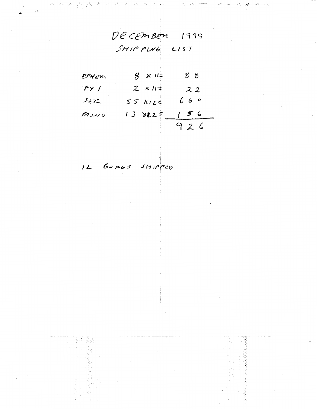DECEMBER 1999  $SHIPPIV6$   $CIST$ 

| EPHEM                           | $8 \times 11$       | 88  |
|---------------------------------|---------------------|-----|
| $f\gamma$ /                     | $2 \times 11^{\pm}$ | 22  |
| sen.                            | 55 kiz              | 660 |
| $m$ رمز $\omega$                | 13 XL2 =            | 156 |
| and the state of the control of |                     | 926 |

12 Boxes SHIPPED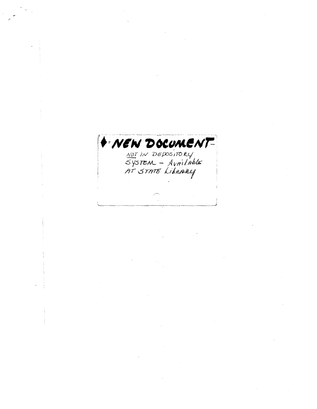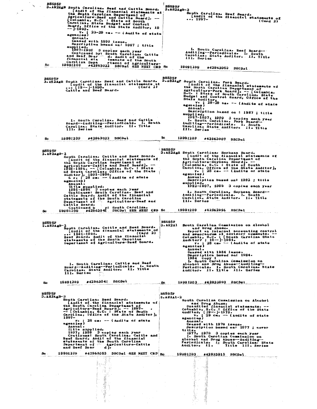| B8595F                                                                                                              |                                                                                               |
|---------------------------------------------------------------------------------------------------------------------|-----------------------------------------------------------------------------------------------|
| 3.A82AgB South Carolina. Best and Cattle Board.                                                                     | <b>B8595F</b><br>3.A82AgB-3                                                                   |
| [Audit of the financial statements at<br>the South Carolina Department of                                           | South Carolina. Beef Board.                                                                   |
| Agriculture-Beef and Cattle Board]. --                                                                              | [Audit of the financial statements of<br>$ 1997-$                                             |
| [Columbia, S.C. : State of South<br>Carolina, State Budget and Control                                              | (Card 2)                                                                                      |
| Board, Office of the State Auditor, 19<br>-- 1990.                                                                  |                                                                                               |
| v. :<br>$23-28$ cm. $-$ (Audits of state<br>agencies)                                                               |                                                                                               |
| Annual.<br>Ceased with 1990 issue.                                                                                  |                                                                                               |
| Description based on: 1987 ; title                                                                                  |                                                                                               |
| supplied.<br>1987-1990 3 copies each year                                                                           | 1. South Carolina. Beef Board---                                                              |
| Continued by: South Carolina. Cattle                                                                                | Auditing--Periodicals. I. South<br>Carolina. State Auditor. II. Title                         |
| and Beef Boar d. Audit of the<br>financial state tements of the South<br>Carolina Depa                              | III. Series                                                                                   |
| a Depa riment of Agriculture-<br>#42963022 DSCDs1 SEE NEXT CRD Sc<br>Sc<br>19991209                                 | 19991209                                                                                      |
|                                                                                                                     | #42963053 DSCDsl                                                                              |
|                                                                                                                     | B8595F                                                                                        |
| B859 5F<br>3. A82AgB South Carolina. Beef and Cattle Board.                                                         | 3. A82AgP South Carolina. Pork Board.                                                         |
| [Audit of the financial statements at<br>$\cdots$ [19--]-1990.<br>(Card 2)                                          | [Audit of the financial statements of<br>the South Carolina Department of                     |
| Cattle and Beef Board.                                                                                              | Agriculture-Pork Board]. -- [Columbia,<br>S.C. : State of South Carolina, State               |
|                                                                                                                     | Budget and Control Board, Office of the<br>State Auditor,                                     |
|                                                                                                                     | $v \cdot$ ;<br>$28-29$ ca. -- (Audits of state                                                |
|                                                                                                                     | agencies)<br>Annual.                                                                          |
|                                                                                                                     | Description based on : 1987 ; title<br>supplied.                                              |
| 1. South Carolina. Beef and Cattle                                                                                  | 1987-1997, 1999 3 copies each year                                                            |
| Board--Auditing--Periodicals. I. South                                                                              | 1. South Carolina. Pork Board-<br>Auditing--Periodicals. I. South                             |
| Carolina. State Auditor. II. Title<br>III. Series                                                                   | Carolina. State Auditor. Il. Title<br>III. Series                                             |
|                                                                                                                     |                                                                                               |
| *42963022<br><b>DSCDsl</b><br>19991209<br>Sc                                                                        | Sc<br>19991209<br>#42963007 DSCDsl                                                            |
|                                                                                                                     |                                                                                               |
| B8595F                                                                                                              | <b>B8595F</b>                                                                                 |
| 3.A82AgB-2<br>South Carolina. Cattle and Beef Board.                                                                | 3.A82AgS South Carolina. Soybean Board.<br>[Audit of the financial statements of              |
| [Audit of the flnancial statements of<br>the South Carolina Department of                                           | the South Carolina Department of                                                              |
| Agriculture-Cattle and Beef Board]. --<br>1991-1996, -- [Columbia, S.C. : State                                     | Agriculture-Soybean Board]. --<br>[Columbia, S.C. : State of South                            |
| of South Carolina, Office of the State                                                                              | Carolina, Office of the State Auditor],<br>$v_{\bullet}$ ; 28 cm. $-\bullet$ (Audits of state |
| Auditor], 1991-1996.<br>6 v. ; 28 cm. -- (Audits of state                                                           | agencies)<br>Annual.                                                                          |
| agencies)<br>Anaual.                                                                                                | Description based on: 1992 ; title<br>supplied.                                               |
| Title supplied.                                                                                                     | 1992-1997, 1999 3 copies each year                                                            |
| 1991-1996 – 3 copies each year<br>Continues: South Carolina. Beef and                                               | 1. South Carolina. Soybean Board--                                                            |
| Cattle Board. Audit of the financial<br>statements of the South Carolina                                            | Auditing--Periodicals. I. South<br>Carolina. State Auditor. II. Title                         |
|                                                                                                                     |                                                                                               |
| Department of Agriculture-Beef and                                                                                  | III. Series                                                                                   |
| <b>Cattle Board.</b>                                                                                                |                                                                                               |
| sc.                                                                                                                 | 19991209<br>#42962996<br><b>DSCDsl</b>                                                        |
|                                                                                                                     |                                                                                               |
| <b>B8595F</b>                                                                                                       | <b>B8595F</b>                                                                                 |
| $3.182$ AgB-2<br>South Carolina. Cattle and Beef Board.                                                             | 3.A82Al<br>South Carolina Commission on Alcohol<br>and Drug Abuse.                            |
| [Audit of the financial statements of<br>(Card 2)<br>$ 1991 - 1996$                                                 | Report on internal acceunting control                                                         |
| Beef Board. Audit of the financial<br>statements of the South Carolina                                              | and memorandum of advisory comments. --<br>Columbia, S.C. : [South Carolina State             |
| Department of Agriculture-Beef Board.                                                                               | Auditor? ; 19--- ]-1984.                                                                      |
|                                                                                                                     | vi : 28 cm. - (Audits of state<br>agencies)<br>Annual.                                        |
|                                                                                                                     | Ceased with 1984 issue.<br>Description based on: 1984.                                        |
|                                                                                                                     | $1984$ Copy 1<br>1. South Carolina Commission on                                              |
| 1. South Carolina. Cattle and Beef<br>Board--Auditing--Periodicals. I. South                                        | Alcohol and Drug Abuse--Auditing--<br>Periodicals. I. South Carolina. State                   |
| Carolina. State Auditor. II. Title<br>III. Series                                                                   | Auditor. II. Title III. Series                                                                |
|                                                                                                                     |                                                                                               |
| #42963041 DSCDsl<br>19991209<br>Sc                                                                                  | 19991203 #42923900 DSCDsl.<br>Sc.                                                             |
|                                                                                                                     |                                                                                               |
| B859 5P                                                                                                             | <b>B8595F</b>                                                                                 |
| 3.A82AgB-3<br>South Carolina. Beef Board.                                                                           | 3.A82Al-2                                                                                     |
| [Audit of the financial statements of<br>the South Carolina Department of                                           | South Carolina Commission on Alcohol                                                          |
|                                                                                                                     |                                                                                               |
| Agriculture-Beef Board]. -- 1997-<br>-- [Columbia, S.C. : State of South<br>Carolina, Office of the State Auditor], |                                                                                               |
| 1997–                                                                                                               | Annual.                                                                                       |
| v. ; 28 ca. -- (Audits of state<br>agencies)<br>Annual.                                                             | Ceased with 1979 issue.                                                                       |
| Title supplied.                                                                                                     | Description based on: 1977 ; cover<br>title.                                                  |
| 1997, 1999 3 copies each year<br>Continues: South Carolina. Cattle and<br>Beef Board. Audit of the financial        | $1977, 1979$ 3 copies each year<br>1. South Carolina Commission on                            |
| statements of the South Carolina                                                                                    | Alcohol and Drug Abuse--Auditing--<br>Periodicals. I. South Carolina. State                   |
| Department of condigericulture-Cattle<br>and Beef Board                                                             | Auditor. II.<br>Title III. Series                                                             |
| 19991209<br>Sc.<br>#42963053 DSCDsl SEE NEXT CRD Sc                                                                 | 19991203.                                                                                     |
|                                                                                                                     | #42923915 DSCDsl                                                                              |
| Y.<br>医加入病毒<br>- 1                                                                                                  | š                                                                                             |
| ł<br>- 38                                                                                                           | r en Ag                                                                                       |
|                                                                                                                     |                                                                                               |
|                                                                                                                     | in popularity.                                                                                |
|                                                                                                                     | k,                                                                                            |
|                                                                                                                     |                                                                                               |
|                                                                                                                     |                                                                                               |
| E.                                                                                                                  | <b>Manuscriptor</b><br>一つ たいこう                                                                |

 $\overline{\phantom{a}}$ 

 $\cdot$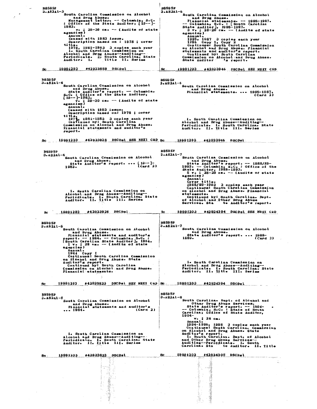| BQ99 9F<br>3.A82Al-3                                                                                        | BSOROF<br>3.A82Al-6                                                                                               |
|-------------------------------------------------------------------------------------------------------------|-------------------------------------------------------------------------------------------------------------------|
| South Carolina Commission on Alcohol<br>and Drug Abuse.                                                     | South Carolina Commission on Alcohol<br>and Drug Abuse.                                                           |
| Management letter. -- Columbia, S.C.<br>: Office of the State Auditor, $[19--]^-$                           | Pinancial statements. -- 1985-1987.<br>-- Columbia, S.C. . [South Carolina                                        |
| 1983.<br>; 29-30 cm. -- (Audits of state<br>v.                                                              | State Auditor], 1985-1987.<br>$3$ v. ; $28-29$ cm. $-$ (Audits of state                                           |
| agencies)<br>Annual.                                                                                        | agencies).<br>Annual.                                                                                             |
| Ceased with 1983 issue.<br>Description based on : 1978 ; cover                                              | 1985, 1987 3 copies each year<br>$1986$ Copy 1, Copy 2                                                            |
| title.<br>1978, 1981-1983 3 copies each year                                                                | Continues: South Carolina Commission<br>on Alcohol and Drug Abuse. Financial                                      |
| 1. South Carolina Commission on                                                                             | statements and auditor's report.<br>Coatinued by: South Carolina                                                  |
| Alcohol and Drug Abuse--Auditing--<br>Periodicals. 2. South Carolina. State<br>Auditor. I. 11tle II. Series | Commission on Alcohol and Drug Abuse.<br>State Auditor 's report.                                                 |
| 19991203 #42923859 DSCDsl<br>Sc.                                                                            | $\mathbf{Sc}$ .<br>19991203<br>#42923946<br>DSCDsl SEE NEXT CRD                                                   |
| <b>B8595F</b>                                                                                               | <b>B8595F</b>                                                                                                     |
| 3.A82Al-4<br>South Carolina Commission on Alcohol                                                           | $3.82$ $1-6$<br>South Carolina Commission on Alcohol                                                              |
| and Drug Abuse.<br>State Auditor's report. -- Columbia,                                                     | and Drug Abuse.<br>Financial statements.  1985-1987.                                                              |
| S.C. : Office of the State Auditor,<br>$[19--]$ -1983.                                                      | (Card <sub>2</sub> )                                                                                              |
| $\bar{v}$ . ; 29-30 cm. -- (Audits of state<br>agencies)                                                    |                                                                                                                   |
| Annual.<br>Ceased with 1983 issue.                                                                          |                                                                                                                   |
| Description based on: 1978 ; cover<br>title <sub>?</sub>                                                    |                                                                                                                   |
| 197%, 1981-1983 3 copies each year<br>Continued by: South Carolina                                          | 1. South Carolina Commission on                                                                                   |
| Commission on Alcohol and Drug Abuse.<br>Financial statements and auditor's                                 | Alcohol and Drug Abuse--Auditing--<br>Periodicals. I. South Carolina. State<br>Auditor. II. Title III. Series     |
| report.                                                                                                     |                                                                                                                   |
| $*42923928$ DSCDsl SEE NEXT CED Sc<br>19991203<br>Sc.                                                       | *42923946<br>19991203<br>DSCDsl                                                                                   |
|                                                                                                             |                                                                                                                   |
| <b>B8595F</b><br>$3.482$ $1-4$                                                                              | B8595F<br>$3.482A1-7$                                                                                             |
| South Carolina Commission on Alcohol                                                                        | South Carolina Commission on Alcohol                                                                              |
| and Drug Abuse.<br>State Auditor's report.  [18--]-<br>(Card 2)<br>1983.                                    | and Drug Abuse.<br>State Auditor's report. -- 1988/89-                                                            |
|                                                                                                             | 1993. -- Columbia, S.C. : Office of the<br>State Auditor, 1988-1993.<br>$5 v_4$ ; $28-29$ ca. -- (Audits of state |
|                                                                                                             | agencies)<br>Annual.                                                                                              |
|                                                                                                             | Cover title.<br>1988/89-1993 3 copies each year                                                                   |
| 1. South Carolina Commission on                                                                             | Continues: South Carolina Commission<br>on Alcohol and Drug Abuse. Pinancial                                      |
| Alcohol and Drug Abuse--Auditing--<br>Periodicals. I. South Carolina. State                                 | statements.<br>Continued by: South Carolina. Dept.                                                                |
| Auditor. II. Iltle III. Series                                                                              | of Alcohol and Other Drug Abuse<br>Services. Sta<br>te Auditor's report.                                          |
|                                                                                                             |                                                                                                                   |
| #42923928 DSCDsl.<br>19991203<br>Sc                                                                         | 19991203<br>#42924394 DSCDsl SEE NEXT CRD<br>šс                                                                   |
|                                                                                                             |                                                                                                                   |
|                                                                                                             | <b>B8595F</b>                                                                                                     |
| <b>B8595F</b><br>$3.18211 - 5$                                                                              | 3.A82Al-7                                                                                                         |
| South Carolina Commission on Alcohol                                                                        | South Carolina Commission on Alcohol<br>and Drug Abuse.                                                           |
| and Drug Abuse.<br>Financial statements and auditor's<br>report. -- 1984. -- Columbia, S.C. :               | State Auditor's report.  1988-<br>1993.<br>(Card 2)                                                               |
| [South Carolina State Auditor], 1984.<br>$1 \text{ v}$ , $28 \text{ cm}$ -- (Audits of state                |                                                                                                                   |
| agencies)<br>Annual.                                                                                        |                                                                                                                   |
| 1984 Copy 1<br>Continues: South Carolina Commission                                                         |                                                                                                                   |
| on Alcohol and Drug Abuse. State<br>Auditor's report.                                                       | 1. South Carolina Commission on                                                                                   |
| Continued by: South Carolina<br>Commission on Alcohol and Drug Abuse.                                       | Alcohol and Drug Abuse--Auditing--<br>Periodicals. I. South Carolina. State<br>Auditor. II. Title III. Series     |
| Pinancial statements.                                                                                       |                                                                                                                   |
| #42923823 DSCDsl SEE NEIT CRD Sc.<br>19991203<br>Sc                                                         | 19991203 #42924394 DSCDsl                                                                                         |
|                                                                                                             |                                                                                                                   |
| <b>B8595F</b>                                                                                               | <b>B8595F</b><br>$3 - 82 - 8$                                                                                     |
| $3.482$ $\lambda$ l -5<br>South Carolina Commission on Alcohol                                              | South Carolina. Dept. of Alcohol and                                                                              |
| and Drug Abuse.<br>Financial statements and auditor's<br>(Card 2)<br>1984.                                  | Other Drug Abuse Services.<br>State Auditor's report. -- 1994-                                                    |
|                                                                                                             | -- Columbia, S.C. : State of South<br>Carolina, Office of State Auditor,<br>1994-                                 |
|                                                                                                             | <b>v. ; 28 ca.</b><br>Annual.                                                                                     |
|                                                                                                             | 1994-1996, 1998 3 copies each year<br>Continues: South Carolina. Commission                                       |
| 1. South Carolina Commission on                                                                             | on Alcohol and Drug Abuse. State<br>Auditor's report.                                                             |
| Alcohol and Drug Abuse--Auditing--                                                                          | 1. South Carolina. Dept. of Alcohol<br>and Other Drug Abuse Services--                                            |
| Periodicals. I. South Carolina. State<br>Auditor. II. Iitle III. Series                                     | Auditing--Periodicals. I. South<br>Carolina. Sta te Auditor. II. Title                                            |
|                                                                                                             |                                                                                                                   |
| *42923823<br>DSCDsl<br>19991203<br>Sc.                                                                      | 8c<br>19991203<br>#42924305 DSCDsl<br>28,                                                                         |
| 一条                                                                                                          | 鑫                                                                                                                 |
| mang).<br>y.                                                                                                | $\epsilon$ , which is                                                                                             |
|                                                                                                             |                                                                                                                   |
|                                                                                                             | かいかい                                                                                                              |
|                                                                                                             |                                                                                                                   |
|                                                                                                             |                                                                                                                   |
| $\frac{1}{2}$                                                                                               |                                                                                                                   |

 $\ddot{\cdot}$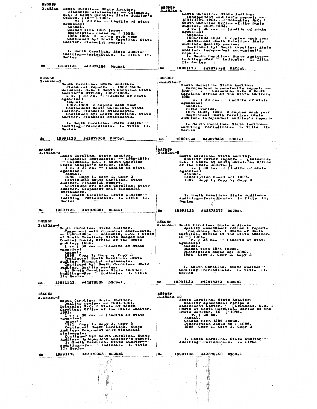| B859 5P              |                                                                                                                |                                                                                                                                                                                                                                   |
|----------------------|----------------------------------------------------------------------------------------------------------------|-----------------------------------------------------------------------------------------------------------------------------------------------------------------------------------------------------------------------------------|
| 3.A82Au              | South Carolina. State Auditor.                                                                                 | <b>B8595P</b><br>3.A82Au-6                                                                                                                                                                                                        |
|                      | Financial statements. - Columbia,                                                                              | South Carolina. State Auditor.                                                                                                                                                                                                    |
|                      | S.C. : South Carolina State Auditors<br>Office, [19--]-1986.<br>V* : 29 Cm. -- (Audits of state                | Independent auditor's report. --<br>1991/1992-1994. - Columbia, S.C. :                                                                                                                                                            |
|                      | agencies)                                                                                                      | South Carolina Office of the State<br>Auditor, 1992-1994.                                                                                                                                                                         |
|                      | Annual.<br>Ceased with 1986 issue.                                                                             | $3 \vee \bullet$ ; 28 cm. -- (Audits of state                                                                                                                                                                                     |
|                      | Description based on : 1985.<br>1985-1986 3 copies each year                                                   | agencies)<br>Annual.                                                                                                                                                                                                              |
|                      | Continued by: South Carolina. State                                                                            | 1991/1992-1994 3 copies each year<br>Continues: South Carolina. State                                                                                                                                                             |
|                      | Auditor. Pinancial: report.                                                                                    | Auditor. Quality review.<br>Continued by: South Carolina. State                                                                                                                                                                   |
|                      | 1. South Carolina. State Auditor--                                                                             | Auditor. Independent accountant s                                                                                                                                                                                                 |
|                      | Auditing--Periodicals. I. Title II.<br>Seri es                                                                 | report.<br>1. South Carolina. State Auditor-                                                                                                                                                                                      |
|                      |                                                                                                                | Auditing--Per<br>dodicals. I. Title<br>II. Series                                                                                                                                                                                 |
| Sc.                  | 19991123<br>#42879286<br><b>DSCDsL</b>                                                                         |                                                                                                                                                                                                                                   |
|                      |                                                                                                                | Sc.<br>19991123 #42878390 DSCDsl.                                                                                                                                                                                                 |
| <b>B8595F</b>        |                                                                                                                | B8595F                                                                                                                                                                                                                            |
| 3.A82Au-2            |                                                                                                                | $3.482Au - 7$                                                                                                                                                                                                                     |
|                      | South Carolina. State Auditor.<br>Financial report. $- - 1987 - 1988 - - -$                                    | South Carolina. State Auditor.<br>Independent accountant s report. --                                                                                                                                                             |
|                      | Columbia, S.C. : South Carolina State                                                                          | 1995- . -- Columbia, S.C. : South<br>Carolina Office of the State Auditor,                                                                                                                                                        |
|                      | Auditor's Office, 1987-1988.<br>2 $v$ : 30 cm. -- (Audits of state<br>agencies)                                | 1999–                                                                                                                                                                                                                             |
|                      | Annual.                                                                                                        | $; 29$ cm. $-$ (Audits of state<br>v.<br>agencies)                                                                                                                                                                                |
|                      | 1987-1988 3 copies each year<br>Continues: South Carolina. State                                               | Annual.<br>Title varies.                                                                                                                                                                                                          |
|                      | Auditor. Financial statements.<br>Continued by: South Carolina. State                                          | 1995-1997, 1999 3 copies each year<br>Continues: South Carolina. State                                                                                                                                                            |
|                      | Auditor. Financial statements.                                                                                 | Auditor. Independent auditor's report.                                                                                                                                                                                            |
|                      | 1. South Carolina. State Auditor--                                                                             | 1. South Carolina. State Auditor--                                                                                                                                                                                                |
|                      | Auditing--Periodicals. I. Title II.<br>Series                                                                  | Auditing--Periodicals. I. Title II.<br>Series                                                                                                                                                                                     |
|                      |                                                                                                                |                                                                                                                                                                                                                                   |
| Sc.                  | 19991123<br>#42879300 DSCDsl                                                                                   | 19991123<br>#42878339 DSCDsl<br>Sc.                                                                                                                                                                                               |
|                      |                                                                                                                |                                                                                                                                                                                                                                   |
| B8595F               |                                                                                                                | <b>B8595F</b>                                                                                                                                                                                                                     |
| $3 - 82$ Au-3        | South Carolina. State Auditor.                                                                                 | 3.A82Au-8<br>South Carolina. State Auditor.                                                                                                                                                                                       |
|                      | Financial statements. $-$ 1989-1989.<br>-- Columbia, S.C. : South Carolina                                     | Quality review report. -- [ Columbia,<br>S.C. : State of South Carolina, Office                                                                                                                                                   |
|                      | State Auditor's Office, 1989.                                                                                  | of the State Auditor],<br>v. ; 30 cm. -- (Audits of state                                                                                                                                                                         |
|                      | $1 \text{ v}$ ; 30 cm. $-$ (Audits of state<br>agencies)                                                       | agencies)                                                                                                                                                                                                                         |
|                      | Annual.<br>1989 Сору 1, Сору 2, Сору 3                                                                         | Annual.<br>Description based on: 1997.                                                                                                                                                                                            |
|                      | Continues: South Carolina. State                                                                               | $1997$ Copy 1, Copy 2, Copy 3                                                                                                                                                                                                     |
|                      | Auditor. Financial report.<br>Continued by: South Carolina. State                                              |                                                                                                                                                                                                                                   |
|                      | Auditor. Component unit financial<br>statements.                                                               |                                                                                                                                                                                                                                   |
|                      | 1. South Carolina. State Auditor--<br>Auditing--Periodicals. I. Title II.                                      | 1. South Carolina. State Auditor--                                                                                                                                                                                                |
|                      | Seri es                                                                                                        | Auditing--Periodicals. I. Title II.<br>Series                                                                                                                                                                                     |
|                      |                                                                                                                |                                                                                                                                                                                                                                   |
| Sc.                  | 19991123<br>#42879351 DSCDsl                                                                                   | 19991123<br>$*42878273$ DSCDsl.<br><b>Sc</b>                                                                                                                                                                                      |
|                      |                                                                                                                |                                                                                                                                                                                                                                   |
|                      |                                                                                                                |                                                                                                                                                                                                                                   |
| <b>B8595F</b>        |                                                                                                                | B8595F                                                                                                                                                                                                                            |
| 3.A82Au-4            | South Carolina. State Auditor.                                                                                 | 3.A82A.19 South Carolina. State Auditor.<br>Quality assessment review : report.                                                                                                                                                   |
|                      | Component unit financial statements.<br>-- 1990-1990. -- Columbia, S.C. : State                                | - [Columbia, S.C. : State of South<br>Carolina, Office of the State Auditor,                                                                                                                                                      |
|                      | of South Carolina, State Budget and                                                                            | $19 - 1986$<br>V. ; 28 cm. -- (Audits of state                                                                                                                                                                                    |
|                      | Control Board, Office of the State                                                                             | agencies)                                                                                                                                                                                                                         |
|                      | Auditor, $1990$ .<br>1 v. 30 cm. -- (Audits of state<br>agencies)                                              | Annual.<br>Ceased with 1986 issue.                                                                                                                                                                                                |
|                      | Annual .                                                                                                       | Description based on: 1986.<br>$1986$ Copy 1, Copy 2, Copy 3                                                                                                                                                                      |
|                      | 1990 Copy 1, Copy 2, Copy 3<br>Continues: South Carolina. State                                                |                                                                                                                                                                                                                                   |
|                      | Auditor. Pinancial statements.<br>Continued by: South Carolina. State                                          |                                                                                                                                                                                                                                   |
|                      |                                                                                                                | 1. South Carolina. State Auditor--<br>Auditing--Periodicals. I. Title II.                                                                                                                                                         |
|                      | Auditor. Quality review.<br>1. South Carolina. State Auditor<br>Auditing-+Per dodicals. I. Title<br>II. Series | Serias<br>$\sim$                                                                                                                                                                                                                  |
|                      |                                                                                                                | 19991123 #42878262 DSCDsl<br>Sc.                                                                                                                                                                                                  |
| Вc.                  | 19991123 #42879335 DSCDsl                                                                                      |                                                                                                                                                                                                                                   |
|                      |                                                                                                                |                                                                                                                                                                                                                                   |
| B8595F<br>3. A82Au-5 |                                                                                                                | <b>B8595F</b><br>$3.82$ $4-10$                                                                                                                                                                                                    |
|                      | South Carolina. State Auditor.                                                                                 | South Carolina. State Auditor.<br>Quality assessment review :                                                                                                                                                                     |
|                      | Quality review. -- 1991-1991. --<br>Columbia, S.C. : State of South                                            | management letter. -- [Columbia, S.C. :                                                                                                                                                                                           |
|                      | Carolina, Office of the State Auditor,<br>1991.                                                                |                                                                                                                                                                                                                                   |
|                      | $1 \text{ v}$ . ; 30 cm. -- (Audits of state<br>agencies)                                                      | $\begin{array}{cc}\n & v & 28 & c\n\end{array}$                                                                                                                                                                                   |
|                      | Annual.                                                                                                        | Ceased with 1986 issue.<br>Description based on : 1986.                                                                                                                                                                           |
|                      | 1991 Copy 1, Copy 2, Copy 3<br>Continues: South Carolina. State                                                | 1986 Сору 1, Сору 2, Сору 3                                                                                                                                                                                                       |
|                      | Auditor. Component unit financial<br>statements.                                                               |                                                                                                                                                                                                                                   |
|                      | Continued by: South Carolina. State<br>Auditor. Independent auditor's report.                                  | 1. South Carolina. State Auditor--                                                                                                                                                                                                |
|                      | 1. South Carolina. State Auditor-+<br>Auditing--Per Jedicals. I. Title                                         | Auditing--Periodicals. I. Title                                                                                                                                                                                                   |
|                      | II. Series                                                                                                     |                                                                                                                                                                                                                                   |
| Sc                   | #42879368 DSCDsl<br>19991123                                                                                   | 19991123<br>#42878250 DSCDsl<br>Sc                                                                                                                                                                                                |
|                      | <u>– ago</u> nymin<br>家菜                                                                                       |                                                                                                                                                                                                                                   |
|                      |                                                                                                                |                                                                                                                                                                                                                                   |
|                      |                                                                                                                |                                                                                                                                                                                                                                   |
|                      | hti<br>Historia                                                                                                |                                                                                                                                                                                                                                   |
|                      |                                                                                                                |                                                                                                                                                                                                                                   |
|                      | Ŵ.                                                                                                             |                                                                                                                                                                                                                                   |
|                      |                                                                                                                |                                                                                                                                                                                                                                   |
|                      |                                                                                                                | e portugale de la composició de la composició de la composició de la composició de la composició de la composició<br>La composició de la composició de la composició de la composició de la composició de la composició de la com |

Ì,

 $\hat{\boldsymbol{\beta}}$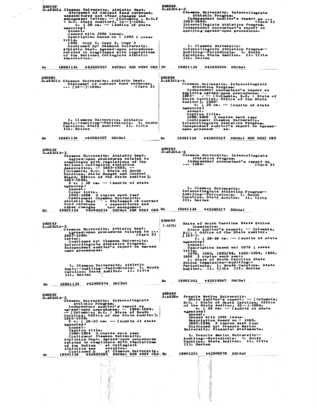BS595F<br>
3.482CLA Clemena of current fund revenues,<br>
statement of current fund revenues,<br>
expenditures and other changes and<br>
sacagement letter. - [Columbia, S.C.?<br>
: S.C. State Auditor?, 19--1-1986.<br>
v v 328 cm -- (Audits BOSSOUL-3<br>
Clemson University. Intercollegiate<br>
Clemson University. Intercollegiate<br>
Athletic Program.<br>
Independent auditor's report on<br>
(Card 2)<br>
The nonlinging Athletics Program.<br>
The report on<br>
The report on Cambre 1994.<br>
Intercollegiate Athletics Program<br>
Independent accountant's report of<br>
applying agreed-upon procedures. 1. Clemson University.<br>
Intercallegiate Athletics Program--<br>
Auditing--Periodicals. I. South<br>
Carolina. State Auditor. II. Title<br>
III. Series 19991124 #42885503 DSCDal 19991124 #42885557 DSCDsl SEE NEXT CRD Sc Sc B8595F<br>3.A82ClA Clemson University. Athletic Dept.<br>3.A82ClA Statement of current fund revenues,<br>42. (Card 2) 1. Clemson University. Athletic<br>Dept.--Auditing--Periodicals. I. South<br>Carolina. State Auditor. II. Title<br>III. Series 19991124 #42885517 DSCDs1 SEE NEXT CRD  $\mathbf{sc}$ Sc  $[38595F] \begin{tabular}{@{}c@{}}c@{}} \multicolumn{1}{c}{0.111} & 0.1111 & 0.1111 & 0.1111 & 0.1111 & 0.1111 & 0.1111 & 0.1111 & 0.1111 & 0.1111 & 0.1111 & 0.1111 & 0.1111 & 0.1111 & 0.1111 & 0.1111 & 0.1111 & 0.1111 & 0.1111 & 0.1111 & 0.1111 & 0.1111 & 0.1111 & 0.1$ BS595F<br>3.482CLA-4<br>clemson University. Intercollegiate<br>independent accountant's report on<br>1995-1. Clemson University.<br>
Intercollegiate Athletics Program--<br>
Auditing--Periodicale. I. South<br>
Carolina. State Auditor. II. Title<br>
III. Series State of South Carolina State Ethics<br>
Commission.<br>
State Auditor's report. -- Columbia,<br>
S.C.: Office of the State Auditor,<br>  $\begin{bmatrix} 197-\end{bmatrix}$ <br>  $\begin{bmatrix}\nv & ; & 28-29 & c\nu & -- & (Audits of state  
\nagenccies)\n\end{bmatrix}$ **B8595F** BS595F<br>3.A82ClA-2<br>demson University. Athletic Dept.<br>Agreed-upon procedures related to ...<br>1987-1989.<br>1987-1989.<br>1989-1989.  $3.482Et$ 1987-1989.<br>
letter<br>
Continued by: Clemson University.<br>
Intercollegiate Athletics Program.<br>
Independent auditor's report on agreed<br>
upon procedures. agencies /<br>
hanual.<br>
Description based on: 1979 ; cover<br>
title.<br>
1979, 1982, 1983/84, 1985-1994, 1996,<br>
1998 3 copies each year:<br>
1. State of South Carolina State<br>
Ethics Commission--Auditing-<br>
Periodicals. I. South Caroli 1. Clesson University. Athletic<br>Dept.--Auditing--Periodicals. I. South<br>Carolina. State Auditor. II. Title<br>III. Series 19991202 #42918967 DSCDsl Sc Sc 19991124 #42885574 DSCDsl B8595F<br>
3.482CL4-3<br>
Clemson University. Intercollegiate<br>
Athletic Program.<br>
Independent auditor's report on<br>
agreed-upon procedures. -- 1990-1994.<br>
-- [Columbia, S.C. : State of South<br>
Carelina, Office of the State Auditor **B8595F<br>3.A82Fr** 1. Prancis Marion University--<br>Auditing--Periodicals. I. South<br>Carolina. State Auditor. II. Title<br>III. Series 19991201 #42908878 DSCDs1

Ñ

Ê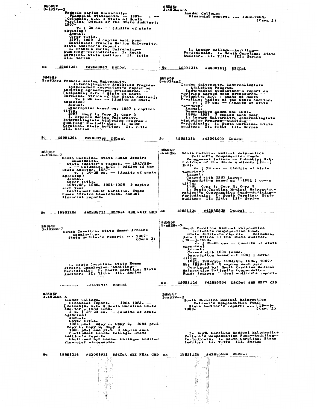B8595F<br>3.A82Lan-6<br>Einancial report.... [984-1985.<br>Financial report... [Card 2) B8595F<br>3. A82Fr-2 Z<br>
Francis Marion University.<br>
Financial statements. -- 1997-<br>
(Columbia, S.C. : State of South<br>
Carolina, Office of the State Auditor],<br>
1997v.; 28 cm. -- (Audits of state<br>agencies) agencies)<br>
Amnual.<br>
Cover title.<br>
1997, 1999 3 copies each year<br>
continues: Francis Marion University.<br>
State Auditor's report.<br>
1. Francis Marion University--<br>
Auditing-"Periodicals. I. South<br>
Auditing-"Periodicals. I. So 1. Lander College--Auditing--<br>Periodicals. I. South Carolina. State<br>Auditor. II. Title III. Series 19991201 #42908837 DSCDsl Sc 19991214 #43001911 DSCDsL Sc B8495F<br>
3.A82FrA Francis Marion University.<br>
Intercollegiate Athletics Program.<br>
Intependent accountant's report on<br>
applying agreed-upon procedures.<br>
Columbia; S.C.: State of South<br>
Carolian Office of the State Auditor],<br> B8595F<br>3.A82Lan1 Lander University. Intercollegiate<br>
Independent accountant's report on<br>
independent accountant's report on<br>
applying agreed upon procedures.<br>
[Columbia, S.C. : State of South<br>
Carolina, Office of the State Auditor,<br>  $\begin{array}{$ agencies)<br>
Annual.<br>
Description based on: 1997 ; caption<br>
tite.<br>
1997 Copy 1, Copy 2, Copy 3<br>
1. Francis Marion University.<br>
Intercollegiate Athletics Program--<br>
Auditing--Periodicals. I. South<br>
Carolina. State Auditor. II agencies ,<br>
Amnual.<br>
Description based on: 1994.<br>
1994, 1997 3 copies each year<br>
1. Lander University. Intercollegiate<br>
Athletics Program—Auditing—<br>
Periodicals. I. South Carolina. State<br>
Auditor. II. Iitle III. Series Sc 19991201 #42908793 DSCDsl Sc 19991214 #43001000 DSCDsl B859 5F<br>3.A8 2Ma B8595F<br>3.A82Hu-7 South Carolina. State Human Affairs<br>
Commission.<br>
State Auditor's report. -- 1987/88-<br>
state Auditor, 1987-<br>
state Auditor, 1987-<br>
state Auditor, 1987-<br>
v. ; 28-28 cm. -- (Audits of state<br>
agencies)<br>
Annua.<br>
Cover title. Annuary<br>Cover title.<br>1987/88, 1989, 1991-1998 - 3 copies scorvery -----<br>
Continues: South Carolina, State<br>
Human Affairs Commission, Annual<br>
financial report. 19991124 #42885539 DSCDsl <u>Sc 19991206 #42938711 DSCDsl SEE NEIT CRD Sc ...</u> B8595F<br>3.a82Ma-2 2<br>
South Carolina Medical Malpractice<br>
Patient's Compensation Fund.<br>
State Auditor: -- Columbia,<br>
S.C.: Office of the State Auditor.<br>
(19-----1990.<br>
(19-----1990.<br>
29-30 cm. -- (Audits of state<br>
agencies)<br>
Annual.<br>
Ceased BS595F<br>3.A82Hu-7<br>South Carolina, State Human Affairs Commission.<br>
State Auditor's report.... (Card 2) 1. South Carolina. State Human<br>Affairs Commission--Auditing--<br>Periodicals. I. South Carolina. State<br>Auditor. II. Title III. Series 19991124 #42885534 DSCDsL SEE NEXT CRD Sc. connexas españolas nachal B8595F<br>
1.482Lan-6<br>
Lander College. -- 1984-1985. --<br>
Financial report. -- 1984-1985. --<br>
[Columbia, s.C. : South Carolina State<br>
101 anual.<br>
2 v. : 28-29 cm. -- (Audits of state<br>
2 v. : 22-29 cm. -- (Audits of state<br>
2 an B8595F<br>3.a82Ma-2 South Carolina Medical Malpractice<br>
Patient's Compensation Funds<br>
State Auditor's reports see (19--1-<br>
1990e<br>
Card 2) 1. South Carolina Medical Malpractice<br>Parient's Compensation Fund--Auditing--<br>Periodicals. I. South Carolina. State<br>Auditor. II. Title III. Series 19991214 #43001911 DSCDsl SEE NEXT CRD Sc 19991124 #42885534 DSCDsl **Sc** Ž Ï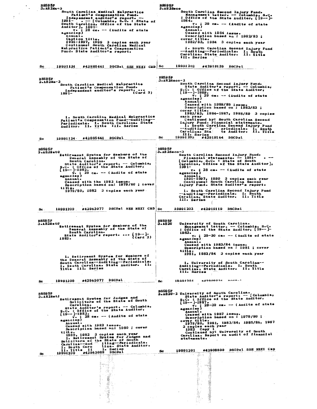| 3. A8 2Ma – 3<br>South Carolina Medical Malpractice                                                      | 3.A82Seco                                                                                                            |
|----------------------------------------------------------------------------------------------------------|----------------------------------------------------------------------------------------------------------------------|
| Patient's Compensation Fund.<br>Independent auditor's report. --                                         | South Carolina Second Injury Pund.<br>Management letter. -- Columbia, S.C.<br>: Office of the State Auditor, [19--]- |
| 1991–<br>. -- [Columbia, S.C. : State of<br>South Carolina, Office of the State                          | 1984.<br>v.<br>$\frac{1}{2}$ 29 cm. $-\frac{1}{2}$ (Audits of state                                                  |
| Auditor ], 1981-                                                                                         | agencies)                                                                                                            |
| $28$ cm. $-$ (Audits of state<br>$v \bullet i$<br>agencies)                                              | Annual.<br>Ceased with 1984 issue.                                                                                   |
| Annual.<br>Caption title.                                                                                | Description based on: 1982/83;<br>cover title.                                                                       |
| 1991-1997, 1999 3 copies each year<br>Continues: South Carolina Medical                                  | 1982/83, 1984 3 copies each year                                                                                     |
| Malpractice Patient's Compensation                                                                       | 1. South Carolina Second Injury Fund                                                                                 |
| Fund. State Auditor's report.                                                                            | --Auditing--Periodicals. I. South<br>Carolina. State Auditor. II. Title<br>III. Series                               |
|                                                                                                          |                                                                                                                      |
| DSCDsl SEE NEXT CRD Sc<br>Sc<br>19991124<br>#42885461                                                    | 19991202<br>#42919139 DSCDsl                                                                                         |
|                                                                                                          |                                                                                                                      |
| B8595F<br>$3 - A82Ma - 3$                                                                                | ↑ B859 5F<br>$3 - A82$ Seco-2                                                                                        |
| South Carolina Medical Malpractice<br>Patient's Compensation Fund.                                       | South Carolina Second Injury Fund.<br>State Auditor's report. -- Columbia,                                           |
| Independent auditor's report.<br>(card 2)                                                                | S.C. : Office of the State Auditor,<br>[19--]-1989.                                                                  |
| 1991–                                                                                                    | $\tilde{v}$ . $\overline{29}$ cm. $-$ (Audits of state<br>agencies)                                                  |
|                                                                                                          | Annual.                                                                                                              |
|                                                                                                          | Ceased with 1988/89 issue.<br>Description based on : 1982/83;                                                        |
|                                                                                                          | cover title.<br>1982/83, 1984-1987, 1988/89 3 copies                                                                 |
| 1. South Carolina Medical Malpractice                                                                    | sach year<br>Continued by: South Carolina Second                                                                     |
| Patient a Compensation Fund--Auditing--<br>Periodicals. I. South Carolina. State                         | Injury Fund. Financial statements.                                                                                   |
| Auditor. II. Title III. Series                                                                           | i. South Carolina Second Injury Fund<br>--Auditing--P/<br>eriodicals. I. South<br>te Auditor. Il. Title              |
|                                                                                                          | Carolina. Sta<br>III. Series                                                                                         |
| #42885461 DSCDsl<br>19991124<br>Sc                                                                       | Sc<br>19991202<br>#42919164 DSCDsl                                                                                   |
|                                                                                                          |                                                                                                                      |
| <b>B8595F</b><br>3.A82BetG                                                                               | B859 5F<br>3.A82Seco-3                                                                                               |
| Retirement System for Members of the<br>General Assembly of the State of                                 | South Carolina Second Injury Fund.<br>Financial statements. -- 1991-                                                 |
| South Carolina.<br>State Auditor's report. -- Columbia,                                                  | [Columbia, S.C. : State of South<br>Carolina, Office of the State Auditor],                                          |
| S.C. : Office of the State Auditor,<br>[19--]-1982.                                                      | 1991–                                                                                                                |
| $v_1$ ; 29 cm. $--$ (Audits of state                                                                     | v. ; 28 cm. -- (Audits of state<br>agencies)                                                                         |
| agencies)<br>Annual.                                                                                     | Annual.<br>1991-1997, 1999 3 copies each year<br>Continues: South Caroline Second                                    |
| Ceased with the 1982 issue.<br>Description based on: 1979/80 ; cover                                     | Injury Fund. State Auditor's report.                                                                                 |
| ti ti e.<br>1979/80, 1982 3 copies each year.                                                            | 1. South Carolina Second Injury Fund                                                                                 |
|                                                                                                          | --Auditing--Periodicats. I. South<br>Carolina. State Auditor.<br>II. Title                                           |
|                                                                                                          | III. Series                                                                                                          |
| $19991209$ $*42963077$ DSCDsl SEE NEXT CRD Sc                                                            | #42919119 DSCDsl<br>19991202                                                                                         |
| Sc.                                                                                                      |                                                                                                                      |
| <b>B8595F</b>                                                                                            | <b>B8595F</b>                                                                                                        |
| 3.A82PetG<br>Retirement System for Members of the                                                        | University of South Carolina.<br>3. A8 2U                                                                            |
| General Assembly of the State of                                                                         | Management letter. -- Columbia, S.C.<br>: Office of the State Auditor, $[19--]$                                      |
| South Carolina.<br>State Auditor's report.  [19--]-                                                      | 1983.<br>$v_{\bullet}$ ; 29-30 cm. -- (Audits of state                                                               |
| (Card 2)<br>1982.                                                                                        | agencies)<br>Annual.                                                                                                 |
|                                                                                                          | Ceased with 1983/84 issue.<br>Description based on : 1981 ; cover                                                    |
|                                                                                                          | title.<br>1981, 1983/84 3 copies each year                                                                           |
| 1. Retirement System for Members of<br>the General Assembly of the State of                              |                                                                                                                      |
| South Carolina--Auditing--Periodicals.<br>I. South Carolina. State Auditor. Il.                          | 1. University of South Carolina--                                                                                    |
| Title III. Series                                                                                        | Auditing--Periodicals. I. South<br>Carolina. State Auditor. II. Title                                                |
|                                                                                                          | III. Series                                                                                                          |
|                                                                                                          |                                                                                                                      |
| DSCDsl<br>*42963077<br>19991209                                                                          | $449900991$ $n^{(n-1)}$<br>18881201<br>Sc.                                                                           |
| Sc.                                                                                                      | <b>B8595F</b>                                                                                                        |
|                                                                                                          | 3.A82U-2 University of South Carolina.<br>State Auditor's report. -- [Columbia,                                      |
| B8595F<br>$3 - A82$ RetJ<br>Retirement System for Judges and<br>Solicitors of the State of South         | S.C. : Office of the State Auditor,<br>$[19--]$ -1987.                                                               |
| Carolina.<br>State Auditor's report. -- Columbia,                                                        | $v - 29-30$ cm. -- (Audits of state<br>ageacies)                                                                     |
| S.C. : Office of the State Auditor,<br>$[19--]$ -1982.                                                   | Anaual.                                                                                                              |
| $\sqrt{v}$ . ; 28 cm. -- (Audits of state                                                                | Ceased with 1987 issue.<br>Description based on : 1979/80;                                                           |
| agencies)<br>Annual.                                                                                     | cover title.<br>1979/80, 1981, 1983/84, 1985/86, 1987                                                                |
| Censed with 1982 issue.<br>Description based on: 1980 ; cover                                            | 3 cepies each year<br>1982 Сору 1                                                                                    |
| title.                                                                                                   | Continued by: University of South<br>Carolina. Report on audit of financial                                          |
| 1980, 1982 3 copies each year<br>1. Retirement System for Judges and<br>Solicitors of the State of South | statements.                                                                                                          |
| Carolina--Aud iting--Periodicals.<br>I. South Caro lina. State Auditor.                                  |                                                                                                                      |
| l. Series<br>II. Title II<br>19991209 *42863089 DSCDsl<br><u>पाइन समापाल</u>                             | #42908800 DSCDsl SEE NEXT CRD<br>19991201<br>Sc<br>$\alpha \rightarrow \alpha \beta$                                 |
| Sc.                                                                                                      | 봤고 (                                                                                                                 |
|                                                                                                          |                                                                                                                      |
| M,<br>-93 F.H                                                                                            |                                                                                                                      |
| $\sim$                                                                                                   |                                                                                                                      |
|                                                                                                          |                                                                                                                      |
| ч,<br>B.                                                                                                 |                                                                                                                      |
| Ź                                                                                                        | a shi masa a ta 1972 a Tanzani.<br>Ta 1972<br>潒                                                                      |

 $\ddot{\cdot}$ 

 $\hat{\cdot}$ 

 $\frac{1}{2}$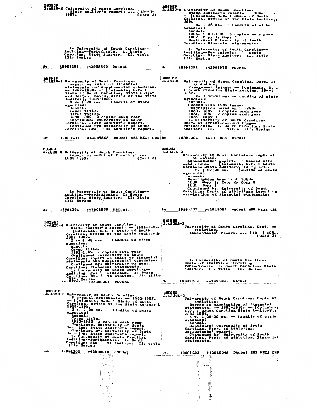B8595F<br>3.4820-6 University of South Carolina.<br>5tate Auditor's report. -- 1896-<br>-- [Columbia, S.C. : State of South<br>Carolina, Office of the State Auditor,<br>1996-<br>v. : 28 cm. -- (Audits of state 1996<br>
v.; 28 cm. -- (Audits of state<br>
Amnual,<br>
28 cm. -- (Audits of state<br>
Amnual,<br>
1997 Copy 1, Copy 2<br>
1997 Copy 1, Copy 2<br>
Continues: University of South<br>
Carolina. Financial statements. 1. University of South Carolina--<br>Auditing--Periodicals. 1. South<br>Carolina. State Auditor. II. Title<br>III. Series 1. University of South Carolina--<br>Auditing--Periodicals. I. South<br>Carolina. State Auditor. II. Title<br>III. Series 19991201 #42908800 DSCDst Sc<sub>ore</sub> 19991201 #42908978 DSCDsL B8595F<br>
3.4820-3 University of South Carolina.<br>
seport on audit of financial<br>
statements and supplemental schedules.<br>
-- 1988-1990.<br>
State of South Carolina, SaCe:<br>
state of South Carolina, Office of the State<br>
and Control University of South Carolina. Dept. of<br>
Athletics.<br>
Athletics.<br>
1985.<br>
South Carolina State Auditor, 19--1-<br>
1985.<br>
1985.<br>
1985.<br>
28-29 cm. - (Audits of state<br>
Annual.<br>
Annual.<br>
Ceased with 1985 issue.<br>
Description based o **B859 5F<br>3.A82UA**  $\mathbf{sc}$ 19991202 #42919098 DSCDsl 19991201 #42908858 DSCDsl SEE NEXT CRD Sc BSS95F<br>
BS95F<br>
198595F<br>
University of South Carolina. Dept. of<br>
Athletics.<br>
Accountants' report. -- Ceased with<br>
1981 issue. -- [Columbia, Sc. 1901]<br>
to : 27-28 cm. -- [Audits of state<br>
egencies)<br>
27-28 cm. -- [Audits of s B8595F<br>3.A82U-3 University of South Carolina.<br>1988-1990.<br>1988-1990.  $(card 2)$ 1. University of South Carolina---<br>Auditing--Periodicals. I. South<br>Carolina. State Auditor. II. Title<br>III. Series 19991201 #42908858 DSCDsL. 19991202 #42919083 DSCDs1 SEE NEXT CRD Sc Sc<sub>ol</sub> BS595F<br>
3.A82U-4 University of South Carolina.<br>
State Auditor's report. -- 1991-1992.<br>
-- [Columbia, S.C. : State of South<br>
carolina, Office of the State Auditor],<br>
1991-1992.<br>
2 v. ; 28 cm. -- (Audits of state<br>
agencies)<br> **B8595F**  $3.4820A - 2$ Iniversity of South Carolina. Dept. of<br>Athletics.<br>Accountants' report. ... [19--]-1981.<br>(Card 2) agencies)<br>
Annul:<br>
Annul:<br>
Over title,<br>
1991-1992 3 copies each year<br>
Continues: University of South<br>
Carolina. Report on audit of financial<br>
statements and supplemently of South<br>
Carolina. Financial statements<br>
Continued 1. University of South Carolina.<br>Dept. of Athletics--Auditing--<br>Periodicals. I. South Carolina. State<br>Auditor. II. Title III. Series Title 19991202 #42919083 DSCDsl Sc B8595F<br>
3.482U-5 University of South Carolina.<br>
Financial statements. -- 1993-1995.<br>
-- [Columbia, S.C. : State of South<br>
1993-1995.<br>
3.10 cm -- (Audits of state Auditor),<br>
3.3.1995.<br>
3.10 cm -- (Audits of state<br>
agencies) B8595F<br>3.A82UA-3 3<br>
Iniversity of South Carolina. Dept. of<br>
Athletics.<br>
Report on examination of financial:<br>
statements. --1982-1985. -- [Columbia,<br>
Statements. -1982-1985. -- [Columbia,<br>
Statements],<br>
4 v. 128-29 cm. -- (Audits of state<br> 19991201 #42909010 DSCDal 19991202 #42919049 DSCDs1 SEE NEXT CRD Sc. 產 Ã 

医囊膜炎

Ź Service of the control of the control of the control of the control of the control of the control of the control of the control of the control of the control of the control of the control of the control of the control of t

おんなん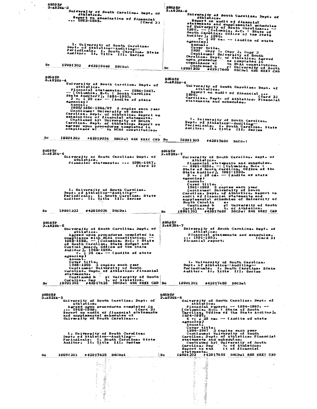| B859 5F<br>3.A82UA-3                                                                                                                                       | <b>B8595F</b>                                                                                                                                          |
|------------------------------------------------------------------------------------------------------------------------------------------------------------|--------------------------------------------------------------------------------------------------------------------------------------------------------|
| University of South Carolina. Dept. of                                                                                                                     | 3.A82UA-6                                                                                                                                              |
| Athletics.                                                                                                                                                 | University of South Carolina. Dept. of                                                                                                                 |
| Report on examination of financial<br>$ 1982 - 1985.$                                                                                                      | Athletics.                                                                                                                                             |
| (Card 2)                                                                                                                                                   | Report on audit of financial<br>statements and supplemental schedules                                                                                  |
|                                                                                                                                                            | of University of South Carolina --                                                                                                                     |
|                                                                                                                                                            | $1990. -$ (Columbia, S.C. : State of<br>South Carolina, Office of the State                                                                            |
|                                                                                                                                                            |                                                                                                                                                        |
|                                                                                                                                                            | Auditor $\frac{1980}{129 \text{ cm}}$ -- (Audits of state                                                                                              |
| 1. University of South Carolina.                                                                                                                           | Annual.                                                                                                                                                |
| Dept. of Athletics--Auditing--                                                                                                                             | Cover title.                                                                                                                                           |
| Periodicals. I. South Carolina. State<br>Auditor. Il. Title III. Series                                                                                    | 1990 Copy 1, Copy 2, Copy 3<br>Continues: University of South                                                                                          |
|                                                                                                                                                            | Carolina. Dept. of Athletics. Agreed                                                                                                                   |
|                                                                                                                                                            | upon procedur es completed in<br>compliance wi                                                                                                         |
| Sc.<br>19991202<br>#42919049<br>DSCDsl                                                                                                                     | th NCAA constitution.<br>Continued b                                                                                                                   |
|                                                                                                                                                            | ued b y: University of South<br>#42917600 DSCDsl SEE NEXT CED<br>Sc.<br>19991202                                                                       |
|                                                                                                                                                            |                                                                                                                                                        |
| B8595F<br>3.A82UA-4                                                                                                                                        | B8595F                                                                                                                                                 |
| University of South Carolina. Dept. of                                                                                                                     | 3-482UA-6                                                                                                                                              |
| Athletics.                                                                                                                                                 | University of South Carolina. Dept. of<br>Athletics.                                                                                                   |
| Financial statements. -- 1986-1987.                                                                                                                        | Report on audit of financial                                                                                                                           |
| -- [Columbia, S.C. : South Carolina<br>State Auditor?], 1986-1987.                                                                                         | 1990.<br>(Card 2)                                                                                                                                      |
| $2 \text{ v}$ , ; 28 cm. $-$ (Audits of state<br>agencies)                                                                                                 | Carolina. Dept. of Athletics. Financial<br>statements and schedules.                                                                                   |
| Annual.                                                                                                                                                    |                                                                                                                                                        |
| 1985/1986-1986/87 3 copies each year                                                                                                                       |                                                                                                                                                        |
| Continues: University of South<br>Carolina. Dept. of Athletics. Report on                                                                                  |                                                                                                                                                        |
| examination of financial statements.                                                                                                                       |                                                                                                                                                        |
| Continued by: University of South<br>Carolina. Dept. of Athletics. Report on                                                                               | 1. University of South Carolina.                                                                                                                       |
| agreed upon procedures completed in                                                                                                                        |                                                                                                                                                        |
| compliance wi . th NCAA constitution.                                                                                                                      | Auditor: II. Title III. Series                                                                                                                         |
|                                                                                                                                                            |                                                                                                                                                        |
| Sc<br>19991202<br>*42919036<br>DSCDs1 SEE NEXT CRD Sc                                                                                                      | 19991202                                                                                                                                               |
|                                                                                                                                                            | *42917600<br><b>DSCDal</b>                                                                                                                             |
|                                                                                                                                                            |                                                                                                                                                        |
| B859 5F                                                                                                                                                    | <b>B8595F</b>                                                                                                                                          |
| $3 - 48204 - 4$<br>University of South Carolina. Dept. of                                                                                                  | 3.A82UA-7<br>University of South Carolina. Dept. of                                                                                                    |
| Athletics.                                                                                                                                                 | Athletics.                                                                                                                                             |
| Financial statements.  1986-1987.                                                                                                                          | Financial statements and schedules.                                                                                                                    |
| (Card 2)                                                                                                                                                   | - 1991-1993. -- [Columbia, S.C. :                                                                                                                      |
|                                                                                                                                                            | State of South Carolina, Office of the<br>State Auditor, 1991-1993.<br>3 v. ; 28 cm. - (Audits of state                                                |
|                                                                                                                                                            |                                                                                                                                                        |
|                                                                                                                                                            | agencies)<br>Annual.                                                                                                                                   |
|                                                                                                                                                            | Cover title.                                                                                                                                           |
| 1. University of South Carolina.                                                                                                                           | 1991-1993 3 copies each year<br>Continues: University of South                                                                                         |
| Dept. of Athletics--Auditing--                                                                                                                             | Carolina. Dept. of Athletics. Report on                                                                                                                |
| Periodicals. I. South Carolina. State<br>Auditor: II. Title III. Series                                                                                    | audit of financial statements and                                                                                                                      |
|                                                                                                                                                            |                                                                                                                                                        |
|                                                                                                                                                            | supplemental schedules of University of                                                                                                                |
|                                                                                                                                                            | South Carolin<br>$\bullet \bullet$<br>Continued b<br>y: University of South                                                                            |
| 19991202<br>#42919036 DSCDsl<br>Sc                                                                                                                         | t. of Athletics.                                                                                                                                       |
|                                                                                                                                                            | Carolina. Dep t. of Athletics.<br>19991202 #42917689 DSCDal SBE NEXT CRD<br>Sc                                                                         |
|                                                                                                                                                            |                                                                                                                                                        |
| <b>B8595F</b>                                                                                                                                              | <b>B8595F</b>                                                                                                                                          |
| $3 - 820 - 5$                                                                                                                                              | 3.A82UA-7                                                                                                                                              |
| University of South Carolina. Dept. of<br>Athletics.                                                                                                       | University of South Carolina. Dept. of<br>Athletics.                                                                                                   |
| Agreed upon procedures completed in                                                                                                                        | Financial statements and schedules.                                                                                                                    |
|                                                                                                                                                            | $\cdots$ 1991–1993.<br>(Card 2)<br>Financial report.                                                                                                   |
|                                                                                                                                                            |                                                                                                                                                        |
|                                                                                                                                                            |                                                                                                                                                        |
|                                                                                                                                                            |                                                                                                                                                        |
|                                                                                                                                                            |                                                                                                                                                        |
| Annual.<br>Cover title.                                                                                                                                    | 1. University of South Carolina.                                                                                                                       |
| 1988-1989 3 copies each year                                                                                                                               | Dept. of Athletics--Auditing--                                                                                                                         |
| Continues: University of South                                                                                                                             | Periodicals. I. South Carolina. State                                                                                                                  |
| Carolina. Dept. of Athletics. Financial<br>statements.                                                                                                     | Auditor. Il. Title III. Series                                                                                                                         |
|                                                                                                                                                            |                                                                                                                                                        |
| continued b y: University of South<br>Continued be to at Athletics<br>Carolina. Dep<br>t. of Athletics.<br>19991202 #42917625 DSCDsl SEB NEXT CRD Sc<br>Sc | 19991202<br>#42917689<br>DSCDsl                                                                                                                        |
|                                                                                                                                                            |                                                                                                                                                        |
|                                                                                                                                                            |                                                                                                                                                        |
| B859 5 F                                                                                                                                                   | <b>B8595F</b>                                                                                                                                          |
| $3 - 820 - 5$<br>University of South Carolina. Dept. of                                                                                                    | $3 - 820A - 8$<br>University of South Carolina. Dept. of                                                                                               |
| Athletics.                                                                                                                                                 | Athletics.                                                                                                                                             |
| Agreed upon procedures completed in<br>$\cdots$ 1988–1989.<br>(Card 2)                                                                                     | Financial report. $-$ 1994-1997. $-$<br>[Columbia, S.C. : State of South                                                                               |
| Report on audit of financial statements                                                                                                                    | Carolina, Office of the State Auditor],                                                                                                                |
| and supplemental schedules of<br>University of South Carolina                                                                                              | 1994-1997.                                                                                                                                             |
|                                                                                                                                                            | $4 \text{ v}$ . ; 28 cm. -- (Audits of state<br>agencies)                                                                                              |
|                                                                                                                                                            | Annual.                                                                                                                                                |
|                                                                                                                                                            |                                                                                                                                                        |
| 1. University of South Carolina.                                                                                                                           |                                                                                                                                                        |
| Dept. of Athletics--Auditing--<br>Periodicals. I. South Carolina. State                                                                                    | Cover title.<br>1994-1997 3 copies each year<br>Continues: University of South<br>Carolina. Dept. of Athletics. Financial<br>statements and schedules. |
| Auditor. II. Title III. Series                                                                                                                             |                                                                                                                                                        |
|                                                                                                                                                            | Continued by: University of South<br>Carolina. Dep <sup>-</sup> t. of Athletics.<br>Report on aud it of financial.                                     |
|                                                                                                                                                            | statements.                                                                                                                                            |
| 19991202<br>#42917625<br>DSCDsl<br>Sc.                                                                                                                     | #42917655 DSCDs1 SEE NEXT CRD<br>19991202<br>Sc.                                                                                                       |
|                                                                                                                                                            | कुर ल्                                                                                                                                                 |
|                                                                                                                                                            |                                                                                                                                                        |
|                                                                                                                                                            | e.<br>S                                                                                                                                                |
| mil.                                                                                                                                                       | $\ddot{\gamma}$                                                                                                                                        |
|                                                                                                                                                            |                                                                                                                                                        |
|                                                                                                                                                            |                                                                                                                                                        |
|                                                                                                                                                            | e<br>Samonikani                                                                                                                                        |
|                                                                                                                                                            | $\hat{\mathbf{v}}$                                                                                                                                     |
| .                                                                                                                                                          |                                                                                                                                                        |
|                                                                                                                                                            |                                                                                                                                                        |
|                                                                                                                                                            | uma ma                                                                                                                                                 |

 $\hat{\beta}$ 

 $\hat{\boldsymbol{\beta}}$ 

 $\mathcal{L}_{\mathcal{A}}$ 

 $\hat{\boldsymbol{\beta}}$ 

 $\ddot{\phantom{a}}$ 

 $\ddot{\phantom{0}}$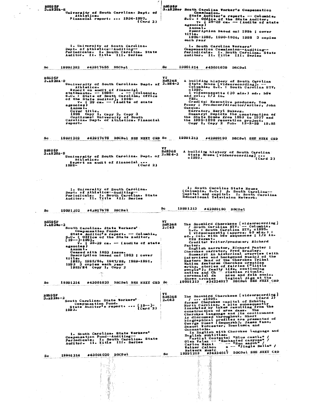B859 5F<br>- 3.182UA-8 University of South Carolina. Dept. of<br>- Athletics. Pinancial report. ... 1994-1997.<br>- Card 2) BSS95F<br>3.A82Nor South Carolina Vorker's Compensation<br>5.afe Auditor's report. -- Columbia,<br>3.c. : Office of the State Auditor,<br>3.c. : Office of the State Auditor,<br>agencies)<br>4.anual. agencies /<br>
Annual.<br>
Description based on: 1986 ; cover<br>
title.<br>
1986-1988, 1990-1996, 1998 3 copies<br>
each year 1. University of South Carolina.<br>Dept. of Athletics--Auditing--<br>Periodicals. I. South Carolina. State<br>Auditor. II. Title III. Series 1. South Carolina Workers'<br>Compensation Commission--Auditing--<br>Periodicals. I. South Carolina. State<br>Auditor. II. Title III. Series 19991214 #43001039 DSCDsl **Sc** 19991202 #42917655 DSCDsl Sc WIMBLET of South Carolina. Dept. of 2.8368<br>
Athletics.<br>
Athletics and the financial<br>
strengths -- 1998-<br>
strengths -- 1998-<br>
strengths -- 1998-<br>
of the State of South Carolina, Office<br>
of the State Auditor], 1998-<br>
Annual. A building history of South Carolina<br>
State House [videorecording]. --<br>
Columbia, S.C. : South Carolina ETV,<br>
ci999.<br>
and col., 1/2 in.<br>
WES.<br>
Twisocassette (30 min.) sd., b&w<br>
vES.<br>
Credits: Executive producer, Tom<br>
Posey B8596F<br>3.A82UA-9 Gasques<br>
Sugary: Depicts the construction of<br>
the State House from 1853 to 1907<br>
the 1895-1998 renovation project.<br>
Copy 1, Copy 2 Pub. 12-2-99 19.95 19991202 #42917678 DSCDsl SEE NEXT CRD Sc 19991213 #42989190 DSCDsl SEE NEXT CRD Sc. yr<br>
Ed3368 A building history of South Carolina<br>
Muniversity of South Carolina. Dept. of <sup>2.1984-2</sup> State House [videorecording]...<br>
Athletics.<br>
Report on audit of financial...<br>
(Card 2)<br>
(Card 2) B8595F<br>3.A82UA-9 i. South Carolina State House<br>(Columbia, S.C.) 2. South Carolina--<br>Capital and capitol. I. South Carolina<br>Bducational Television Network. l. University of South Carolina.<br>Dept. of Athletics--Auditing--<br>Periodicals. I. South Carolina. State<br>Auditor. II. Title III. Series **Sc** 19991213 #42989190 DSCDsl 19991202 #42917678 DSCDsl **Sc** The Snowbird Cherokees [videorecording]<br>
/ South Carolina ETV. - Columbia:<br>
S.C. : South Carolina ETV, clipped:<br>
1 videocassette (approx. 60 min.) :<br>
sd., col. with bew sequences ; 1/2 in.<br>
(VES format.<br>
VES format:<br>
Pante B8595F<br>3.A82Wo-2 VT<br>8d8368<br>2.c43 2<br>
South Carolina. State Workers'<br>
Compensation Fund.<br>
State Auditor's report. -- Columbia,<br>
Sic.: 0221ce of the State Auditor,<br>
19--1-1983.<br>
v.: 28-29 cm. -- (Audits of state<br>
agencies)<br>
Annual.<br>
Coase with 1983 issue.<br>
D Credits: Writer/producer, Elementary<br>
Panter, English narrator, Richard Panter;<br>
Cherokee narrator, Fred Bradley.<br>
Sumary: An historical overview (with<br>
interviews and backgound music) of the<br>
Bastern Band of the Cherokee Sc 19991214 #43001020 DSCDs1 SEB NEXT CRD Sc The Snowbird Cherokees (videorecording)<br>
former Cherokees (videorecording)<br>
former Cherokee capitol of Echota<br>
North Carolina, a site subsequently<br>
hundated by the state subsequently<br>
construction of area dass. The<br>
Cherok VI<br>Ed8368<br>2.C43 B8595F<br>3.A82Wo-2 South Carolina. State Workers' South Compensation Funds<br>
Compensation Funds<br>
1893s<br>
1893s<br>
(Card 2) 1. South Carolina. State Workers'<br>Compensation Fund--Auditing--<br>Periodicals. Is South Carolina. State<br>Auditor. II. Title III. Series #43001020 DSCDsl **Sc** 19991214 Sc. š, ¥. **REGIONAL CONSTRUCTION**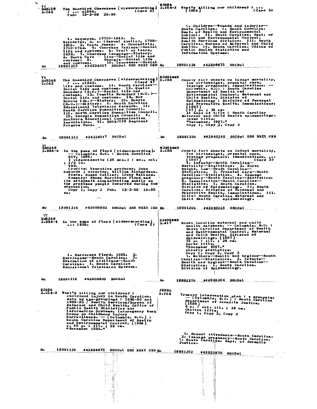| VI<br>$\bar{ }$ Bd8358<br>2.C43 | The Snowbird Cherokees [videorecording] 2.154-2 What's killing our children? :<br>(Card <sub>3</sub> )<br>1  1995.<br>Pub. 12-3-99 29.95                                                                                                                                                                                                                                                                                                                                                                                                                                                                     | <b>ИЗ496</b>             | (Card 2)<br>[1996]                                                                                                                                                                                                                                                                                                                                                                                                                                                                                                                                                                                                                            |
|---------------------------------|--------------------------------------------------------------------------------------------------------------------------------------------------------------------------------------------------------------------------------------------------------------------------------------------------------------------------------------------------------------------------------------------------------------------------------------------------------------------------------------------------------------------------------------------------------------------------------------------------------------|--------------------------|-----------------------------------------------------------------------------------------------------------------------------------------------------------------------------------------------------------------------------------------------------------------------------------------------------------------------------------------------------------------------------------------------------------------------------------------------------------------------------------------------------------------------------------------------------------------------------------------------------------------------------------------------|
| Sc                              | 1. Sequoyah, 1770?-1843. 2.<br>Worcester, S. A. (Samuel Austin), 1798-<br>1859- 32 Vann, James. 4. Oconastota,<br>1710-1763. 5. Cherokee Indians--Social<br>life and customs. 6. Irail of Tears,<br>1838. 7. Cherokee language--History.<br>- lina--Social life and<br>8. North Caro<br>Georgia--Social life<br>customs. S.<br>10. Tennessee--Social<br>and customs.<br>19991213 #34224017 DSCDs1 SEE NEIT CED Sc                                                                                                                                                                                            |                          | 1. Children-Wounds and injuries--<br>South Carolina. I. South Carolina.<br>Dept. of Health and Environmental<br>Control. II, South Carolina. Dept. of<br>Health and Environmental Control.<br>Health Services Division. III. South<br>Carolina. Bureau of Maternal and Child<br>Health. IV. South Carolina. Office of<br>Public Health Statistics and<br>Information Systems.<br>19991124<br>#42884475 DSCDsl                                                                                                                                                                                                                                 |
| V T<br>Ed8368<br>2.C43          | The Snowbird Cherokees [videorecording]<br>(Card 4)<br>$/$ $c1995-$<br>life and customs. 11. South Carolina--<br>Social life and customs. 12. Qualla<br>Boundary (N.C.)--Social life and<br>customs. 13. Tomotia Boundary (N.C.)--<br>Social life and customs. 14. New<br>Echota (Ga.)--History. 15. Echota<br>(N.C.)--History. I. South Carolina<br>Educational Television Network. II.<br>South Carolina Humanities Council.<br>III. North Carolina Humanities Council.<br>IV. Georgia Humanities Council. V.<br>Southern Educational Communication<br>Association. VI. SECA/CPB Regional<br>Program Fund. | <b>H3496MMB</b><br>2.C58 | County fact sheets on infant mortality,<br>low birthweight, prenatal care,<br>teenage pregnancy, immunizations. --<br>Columbia, S.C. : South Carolina<br>Department of Health and<br>Environmental Control, Maternal and<br>Child Health, Division of<br>Epidemiclogy : Division of Personal<br>and Preventive Health, Immunizations,<br>[1997]<br>[47] p. ; 28 cm.<br>At head of title : South Carolina.<br>Maternal and Child Health epidemiclogy.<br>Cover title.<br>"December, 1997."<br>Copy 1, Copy $2$ , Copy 3                                                                                                                        |
| Sс                              | #34224017 DSCDsl<br>19991213                                                                                                                                                                                                                                                                                                                                                                                                                                                                                                                                                                                 | $$ Sc                    | #42940265 DSCDsl SEE NEXT CRD<br>19991206                                                                                                                                                                                                                                                                                                                                                                                                                                                                                                                                                                                                     |
| Ed8368<br>2.186-4               | In the wake of Floyd [videorecording]. 2.C58<br>-- Columbia, S.C. : South Carolina<br>ETV, 1999.<br>l videocassette (25 min.) : sd., col.<br>; 1/2 in.<br>VHS.<br>Credits: Executive producer, John<br>Bdwards ; director, William Richardson.<br>Hosts, Susan Collier, Libby Wallace.<br>Summary: Shows Hurricane Floyd and<br>its aftermath concentrating mostly on<br>the problems people incurred during the<br>evacuat i on.<br>Copy 1, Copy 2 Pub. $12-2-99$ 19.95<br>$\mathbf{a}\mathbf{a}$                                                                                                           | <b>H3496MMR</b>          | County fact sheets on infant mortality,<br>low birthweight, prenatal care,<br>teenage pregnancy, immunizations.<br>(Card 2)<br>[1997]<br>1. Infants--South Carolina-<br>Mortality--Statistics. 2. Birth<br>weight, Low--South Carolina--<br>Statistics. 3. Prenatal care-South<br>Carolina--Statistics. 4. Teenage<br>pregnancy--South Carolina--Statistics.<br>5. Immunization--South Carolina--<br>Statistics. I. South Carolina.<br>Division of Epidemiology. II. South<br>Carolina. Division of Personal and<br><b>III.</b><br>Preventive Health, Immunizations.<br>Title: South Carolina Maternal and<br>Child Health /<br>epidemiology. |
| 8c                              | 19991214<br>#43000903 DSCDsl SEE NEXT CED Sc. 19991206                                                                                                                                                                                                                                                                                                                                                                                                                                                                                                                                                       |                          | #42940265 DSCDsL                                                                                                                                                                                                                                                                                                                                                                                                                                                                                                                                                                                                                              |
| VT<br>Ed8368<br>2.886-4         | In the wake of Floyd [videorecording]<br>1999. (Card 2)<br>1999.<br>1. Hurricane Floyd, 1999.<br>Hurricanes--South Carolina.<br>2.<br>з.<br>Bvacuation of civilians--South<br>Carolina. I. South Carolina<br>Educational Television Network.                                                                                                                                                                                                                                                                                                                                                                 | <b>H3496MMB</b><br>2.M17 | South Carolina maternal and child<br>health databook. -- Columbia, S.C. :<br>South Carolina Department of Health<br>and Bavironmental Control, Material<br>Biodeline Bivision of<br>Biddeniology, [1997]<br>78 p. : ill. ; 28 cm.<br>Cover title.<br>"December 1997."<br>Chiefly statistics.<br>Copy 1, Copy 2, Copy 3<br>1. Mothers--Health and hygiene--South<br>Carolina-Statistics. 2. Infants--<br>Health and hygiene--South Carolina--<br>Statistics. I. South Carolina.<br>Division of Epidemiclogy.                                                                                                                                   |
| Sc                              | #43000903 DSCDsl<br>19991214                                                                                                                                                                                                                                                                                                                                                                                                                                                                                                                                                                                 | Sc                       | 19991206 #42940304 DSCDsL                                                                                                                                                                                                                                                                                                                                                                                                                                                                                                                                                                                                                     |
| H3496<br>$2.154 - 2$            | What's killing our children? :<br>childhood injury in South Carolina,<br>data by age-groupings: 1986-90 and<br>1989-93 / Health Services/Bureau of<br>Maternal and Child Health, Office of<br>Public Health Statistics and<br>Information Systems, Interagency Work<br>surveillance- [Columbia, S.C.] :<br>Surveillance- [Columbia, S.C.] :<br>South Carolina Department of Health<br>and Environmental Control, [1996]<br>v, 60 p. : ill., 28 cm.<br>"November 1996."                                                                                                                                       | <b>J9886</b><br>2.168    | Iruancy intervention plan : a synopsis.<br>-- [Columbia, S.C.] : South Carolina<br>Department of Juvenile Justice,<br>$4$ p. : col. ill. ; 28 cm.<br>Caption title.<br>Copy $1$ , Copy $2$ , Copy 3                                                                                                                                                                                                                                                                                                                                                                                                                                           |
|                                 | $m_{\rm H}$                                                                                                                                                                                                                                                                                                                                                                                                                                                                                                                                                                                                  |                          | 1. School attendance--South Carolina.<br>2. I senage pregnancy--South Carolina.<br>I. South Carolina. Dept. of Juvenile<br>Justice.                                                                                                                                                                                                                                                                                                                                                                                                                                                                                                           |
| Sc.                             | 19991124<br>#42884475 DSCDsl SEE NEIT CRD Sc<br>W).<br>- 43<br>Politika pr<br>$\sim$<br>Ý                                                                                                                                                                                                                                                                                                                                                                                                                                                                                                                    |                          | 19991203<br>#42923875 DSCDsl.                                                                                                                                                                                                                                                                                                                                                                                                                                                                                                                                                                                                                 |

 $\frac{1}{2}$ 

 $\bar{\gamma}$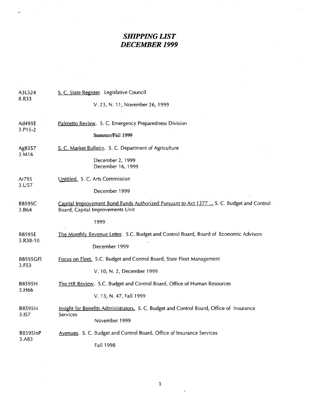# *SHIPPING LIST*  **DECEMBER 1999**

| A3L524<br>8.R33           | S. C. State Register. Legislative Council                                                                                    |  |  |
|---------------------------|------------------------------------------------------------------------------------------------------------------------------|--|--|
|                           | V. 23, N. 11, November 26, 1999                                                                                              |  |  |
| Ad495E<br>3.P15-2         | Palmetto Review. S. C. Emergency Preparedness Division                                                                       |  |  |
|                           | Summer/Fall 1999                                                                                                             |  |  |
| Ag8357<br>3.M16           | S. C. Market Bulletin. S. C. Department of Agriculture                                                                       |  |  |
|                           | December 2, 1999<br>December 16, 1999                                                                                        |  |  |
| Ar795<br>3.U57            | Untitled. S. C. Arts Commission                                                                                              |  |  |
|                           | December 1999                                                                                                                |  |  |
| B8595C<br>3.B64           | Capital Improvement Bond Funds Authorized Pursuant to Act 1377  S. C. Budget and Control<br>Board, Capital Improvements Unit |  |  |
|                           | 1999                                                                                                                         |  |  |
| <b>B8595E</b><br>3.R38-10 | The Monthly Revenue Letter. S.C. Budget and Control Board, Board of Economic Advisors                                        |  |  |
|                           | December 1999                                                                                                                |  |  |
| <b>B8595GFI</b><br>3.F53  | Focus on Fleet. S.C. Budget and Control Board, State Fleet Management                                                        |  |  |
|                           | V. 10, N. 2, December 1999                                                                                                   |  |  |
| B8595H<br>3.H66           | The HR Review. S.C. Budget and Control Board, Office of Human Resources                                                      |  |  |
|                           | V. 13, N. 47, Fall 1999                                                                                                      |  |  |
| B8595In<br>3.157          | Insight for Benefits Administrators. S. C. Budget and Control Board, Office of Insurance<br>Services                         |  |  |
|                           | November 1999                                                                                                                |  |  |
| B85951nP<br>3.A83         | Avenues. S. C. Budget and Control Board, Office of Insurance Services                                                        |  |  |
|                           | Fall 1998                                                                                                                    |  |  |

1

 $\epsilon$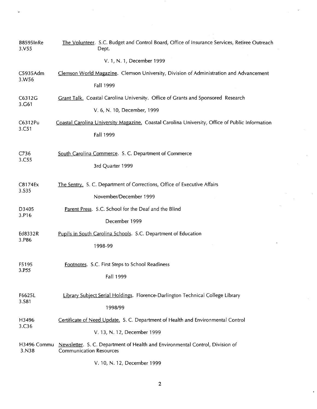| <b>B8595InRe</b><br>3. V55 | The Volunteer. S.C. Budget and Control Board, Office of Insurance Services, Retiree Outreach<br>Dept.           |
|----------------------------|-----------------------------------------------------------------------------------------------------------------|
|                            | V. 1, N. 1, December 1999                                                                                       |
| C5935Adm                   | Clemson World Magazine. Clemson University, Division of Administration and Advancement                          |
| 3.W56                      | <b>Fall 1999</b>                                                                                                |
| C6312G<br>3.G61            | Grant Talk. Coastal Carolina University. Office of Grants and Sponsored Research                                |
|                            | V. 6, N. 10, December, 1999                                                                                     |
| C6312Pu<br>3.C51           | Coastal Carolina University Magazine. Coastal Carolina University, Office of Public Information                 |
|                            | <b>Fall 1999</b>                                                                                                |
| C736                       | South Carolina Commerce. S. C. Department of Commerce                                                           |
| 3.C55                      | 3rd Quarter 1999                                                                                                |
| C8174Ex                    | The Sentry. S. C. Department of Corrections, Office of Executive Affairs                                        |
| 3.S35                      | November/December 1999                                                                                          |
| D3405                      | Parent Press. S.C. School for the Deaf and the Blind                                                            |
| 3.P16                      | December 1999                                                                                                   |
| Ed8332R<br>3.P86           | Pupils in South Carolina Schools. S.C. Department of Education                                                  |
|                            | 1998-99                                                                                                         |
| F5195                      | Footnotes. S.C. First Steps to School Readiness                                                                 |
| 3.P55                      | Fall 1999                                                                                                       |
| F6625L                     | Library Subject Serial Holdings. Florence-Darlington Technical College Library                                  |
| 3.S81                      | 1998/99                                                                                                         |
| H3496                      | Certificate of Need Update. S. C. Department of Health and Environmental Control                                |
| 3.C <sub>36</sub>          | V. 13, N. 12, December 1999                                                                                     |
| H3496 Commu<br>3.N38       | Newsletter. S. C. Department of Health and Environmental Control, Division of<br><b>Communication Resources</b> |
|                            |                                                                                                                 |

 $\hat{\mathcal{A}}$ 

 $\ddot{\phantom{a}}$ 

 $\bar{\mathcal{A}}$ 

 $\sim$ 

V. 10, N. 12, December 1999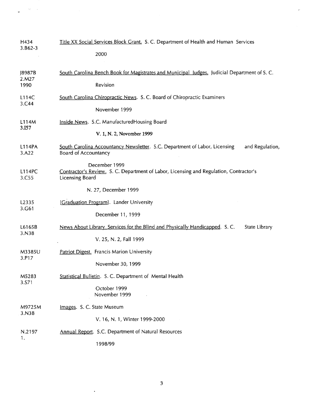| H434                    | Title XX Social Services Block Grant. S. C. Department of Health and Human Services                                               |
|-------------------------|-----------------------------------------------------------------------------------------------------------------------------------|
| $3.862 - 3$             | 2000                                                                                                                              |
| J8987B<br>2.M27<br>1990 | South Carolina Bench Book for Magistrates and Municipal Judges. Judicial Department of S. C.<br>Revision                          |
| L114C                   | South Carolina Chiropractic News. S. C. Board of Chiropractic Examiners                                                           |
| 3.C44                   | November 1999                                                                                                                     |
| L114M                   | Inside News. S.C. ManufacturedHousing Board                                                                                       |
| 3.I57                   | V. 1, N. 2, November 1999                                                                                                         |
| L114PA<br>3.A22         | South Carolina Accountancy Newsletter. S.C. Department of Labor, Licensing<br>and Regulation,<br><b>Board of Accountancy</b>      |
| <b>L114PC</b><br>3.C55  | December 1999<br>Contractor's Review. S. C. Department of Labor, Licensing and Regulation, Contractor's<br><b>Licensing Board</b> |
|                         | N. 27, December 1999                                                                                                              |
| L2335                   | [Graduation Program]. Lander University                                                                                           |
| 3.G61                   | December 11, 1999                                                                                                                 |
| L6165B<br>3.N38         | News About Library Services for the Blind and Physically Handicapped. S.C.<br>State Library<br>V. 25, N. 2, Fall 1999             |
| M3385U                  | Patriot Digest. Francis Marion University                                                                                         |
| 3.P17                   | November 30, 1999                                                                                                                 |
| M5283<br>3.S71          | Statistical Bulletin. S. C. Department of Mental Health<br>October 1999<br>November 1999                                          |
| M9725M                  | Images. S. C. State Museum                                                                                                        |
| 3.N38                   | V. 16, N. 1, Winter 1999-2000                                                                                                     |
| N.2197                  | Annual Report. S.C. Department of Natural Resources                                                                               |
| 1.                      | 1998/99                                                                                                                           |

 $\gamma_{\mathcal{L}}$  $\sim$ 

 $\bullet$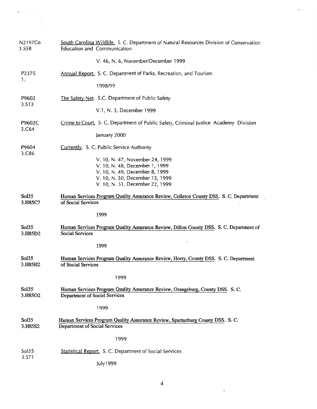| N2197Co<br>3.S58 | South Carolina Wildlife. S. C. Department of Natural Resources Division of Conservation<br>Education and Communication                                                    |
|------------------|---------------------------------------------------------------------------------------------------------------------------------------------------------------------------|
|                  | V. 46, N. 6, November/December 1999                                                                                                                                       |
| P2375            | <b>Annual Report.</b> S. C. Department of Parks, Recreation, and Tourism                                                                                                  |
| 1.               | 1998/99                                                                                                                                                                   |
| P9602            | The Safety Net. S.C. Department of Public Safety                                                                                                                          |
| 3.S13            | V.1, N. 3, December 1999                                                                                                                                                  |
| P9602C<br>3.C64  | Crime to Court. S. C. Department of Public Safety, Criminal Justice Academy Division                                                                                      |
|                  | January 2000                                                                                                                                                              |
| P9604<br>3.C86   | Currently. S. C. Public Service Authority                                                                                                                                 |
|                  | V. 10, N. 47, November 24, 1999<br>V. 10, N. 48, December 1, 1999<br>V. 10, N. 49, December 8, 1999<br>V. 10, N. 50, December 15, 1999<br>V. 10, N. 51, December 22, 1999 |
| Sol35<br>3.H85C7 | Human Services Program Quality Assurance Review, Colleton County DSS. S. C. Department<br>of Social Services                                                              |
|                  | 1999                                                                                                                                                                      |
| Sol35<br>3.H85D2 | Human Services Program Quality Assurance Review, Dillon County DSS. S. C. Department of<br><b>Social Services</b>                                                         |
|                  | 1999                                                                                                                                                                      |
| Sol35<br>3.H85H2 | Human Services Program Quality Assurance Review, Horry, County DSS. S. C. Department<br>of Social Services                                                                |
|                  | 1999                                                                                                                                                                      |
| Sol35<br>3.H85O2 | Human Services Program Quality Assurance Review, Orangeburg, County DSS. S.C.<br>Department of Social Services                                                            |
|                  | 1999                                                                                                                                                                      |
| Sol35<br>3.H85S2 | Human Services Program Quality Assurance Review, Spartanburg County DSS. S. C.<br>Department of Social Services                                                           |
|                  | 1999                                                                                                                                                                      |
| Sol35            | Statistical Report. S. C. Department of Social Services                                                                                                                   |
| 3.S71            | July1999                                                                                                                                                                  |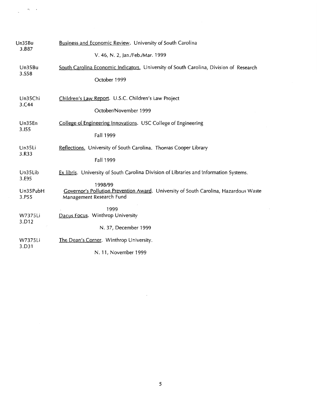| Un35Bu   | Business and Economic Review. University of South Carolina                             |
|----------|----------------------------------------------------------------------------------------|
| 3.B87    | V. 46, N. 2, Jan./Feb./Mar. 1999                                                       |
| Un35Bu   | South Carolina Economic Indicators. University of South Carolina, Division of Research |
| 3.S58    | October 1999                                                                           |
| Un35Chi  | Children's Law Report. U.S.C. Children's Law Project                                   |
| 3.C44    | October/November 1999                                                                  |
| Un35En   | College of Engineering Innovations. USC College of Engineering                         |
| 3.155    | Fall 1999                                                                              |
| Un35Li   | Reflections. University of South Carolina. Thomas Cooper Library                       |
| 3.R33    | <b>Fall 1999</b>                                                                       |
| Un35Lib  | Ex libris. University of South Carolina Division of Libraries and Information Systems. |
| 3.E95    | 1998/99                                                                                |
| Un35PubH | Governor's Pollution Prevention Award. University of South Carolina, Hazardous Waste   |
| 3.P55    | Management Research Fund<br>1999                                                       |
| W7375Li  | Dacus Focus. Winthrop University                                                       |
| 3.D12    | N. 37, December 1999                                                                   |
| W7375Li  | The Dean's Corner. Winthrop University.                                                |
| 3.D31    | N. 11, November 1999                                                                   |

f

 $\sim$   $\sim$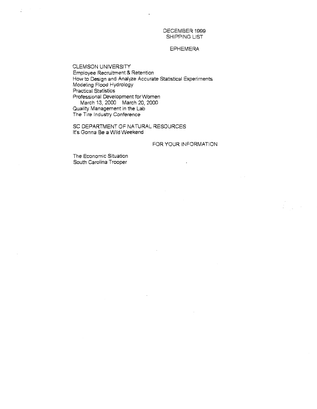DECEMBER 1999 SHIPPING LIST

## EPHEMERA

CLEMSON UNIVERSITY Employee Recruitment & Retention How to Design and Analyze Accurate Statistical Experiments Modeling Flood Hydrology Practical Statistics Professional Development for Women March 13, 2000 March 20, 2000 Quality Management in the Lab The Tire Industry Conference

SC DEPARTMENT OF NATURAL RESOURCES It's Genna Be a Wild Weekend

## FOR YOUR INFORMATION

The Economic Situation South Carolina Trooper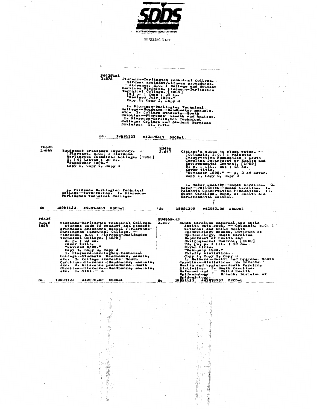

t,

Ì,

 $\ddot{\phantom{a}}$ 

 $\langle \rangle$  .

 $\ddot{\phantom{0}}$ 

a kalèndar di kacamatan di kalèndar

 $\hat{\vec{r}}$ 

SHIPPING LIST

 $\label{eq:1}$ 

|                               |                                                                                                                                                                                   | <b>F6625Col</b><br>2.878                                                                                                                                                             | I. Plorence-Darlington Technical<br>Division. II. Title                                                                                                                                                |                           | Plorence-Darlington Technical College.<br>Sivdent accident/illness procedures.<br>1. Florence-Darlington Technical.<br>college-Students--Hendbooks, manuals,<br>etc. 2. College students--South<br>Carolina--Florence--Health and hygiene.<br>College. College and Student Services                                                                                                                                                                                                                                                               |                                                                                        |
|-------------------------------|-----------------------------------------------------------------------------------------------------------------------------------------------------------------------------------|--------------------------------------------------------------------------------------------------------------------------------------------------------------------------------------|--------------------------------------------------------------------------------------------------------------------------------------------------------------------------------------------------------|---------------------------|---------------------------------------------------------------------------------------------------------------------------------------------------------------------------------------------------------------------------------------------------------------------------------------------------------------------------------------------------------------------------------------------------------------------------------------------------------------------------------------------------------------------------------------------------|----------------------------------------------------------------------------------------|
|                               |                                                                                                                                                                                   | Sc.                                                                                                                                                                                  | 19991123                                                                                                                                                                                               | #42878317 DSCDsl          |                                                                                                                                                                                                                                                                                                                                                                                                                                                                                                                                                   |                                                                                        |
| <b>F6625</b><br>2.B68         | Bquipment procedure inventory. --<br>[Florence, S.C.]: Florence-<br>Darlington Technical College, [1998]<br>9, [4] leaves : 28 cm.<br>"September 1998."<br>Copy 1, Copy 2, Copy 3 |                                                                                                                                                                                      |                                                                                                                                                                                                        | H3496<br>2.C47            | Citizen's guide to clean water.<br>[Columbia, S.C.]: Palmetto<br>Conservation Foundation : South<br>Carolina Department of Health and<br>Environmental: Control, [1999]<br>51 p. : ill., map ; 28 cm.<br>Cover title.<br>"Novemebr 1999." -- p. 3 of cover.<br>Copy $1$ , Copy $2$ , Copy $3$                                                                                                                                                                                                                                                     |                                                                                        |
| Sc                            | 19991123                                                                                                                                                                          | 1. Florence-Darlington Technical<br>College-Inventories. I. Florence-<br>Darlington Technical College.<br>#42879268<br><b>DSCDal</b>                                                 |                                                                                                                                                                                                        | $^{\circ}$ Sc             | l. Water quality--South Carolina.<br>Water--Pollution--South Carolina. I.<br>Palmetto Conservation Foundation. II.<br>South Carolina. Dept. of Health and Environmental Control.<br>19991209<br>#42963106 DSCDsl                                                                                                                                                                                                                                                                                                                                  |                                                                                        |
| <b>F6625</b><br>8.878<br>1998 | "Revised 9/98."<br>etc. I. Titl                                                                                                                                                   | Florence-Darlington Technical College.<br>Student code of conduct and student<br>Copy 1, Copy 2, Copy 3<br>1. Florence-Darlington Technical<br>College--Students--Handbooks, mauals, | grievance procedure manual / Florence-<br>etc. 2. College students--South<br>Carolina--Plorence--Handbooks, manuals,<br>etc. 3. Grievance procedures--South<br>Carolina--Plorence--Handbooks, manuals, | <b>H3496MatE</b><br>2.M17 | South Carolina maternal and child<br>health data book. -- Columbia, S.C. :<br>Maternal and Child Health<br>Bpidemiology Branch, Division of<br>Bpidemiology, South Carolina<br>Department of Health and<br>Department of Health and<br>Bavironmental Control, [1999]<br>73, [2] p. : ill. ; 28 cm.<br>Cover title<br>"Pebruary 1999."<br>Chiefly statistics.<br>Carolina--Statistics. 2. Infants--<br>Bealth and hygiene--South Carolina--<br>Statistics. I. South Carolina.<br>Maternal and  Child Health<br>Maternal and<br><b>Epidemiology</b> | Copy 1, Copy 2, Copy 3<br>1. Mothers--Health and hygiene--South<br>Branch. Division of |
| Sc.                           | 19991123                                                                                                                                                                          | #42878298<br>DSCDsl                                                                                                                                                                  |                                                                                                                                                                                                        | Re.                       | Epidemiology.<br>19991123 #42878357 DSCDsl.                                                                                                                                                                                                                                                                                                                                                                                                                                                                                                       |                                                                                        |
|                               |                                                                                                                                                                                   | ïΣ                                                                                                                                                                                   |                                                                                                                                                                                                        |                           |                                                                                                                                                                                                                                                                                                                                                                                                                                                                                                                                                   |                                                                                        |

έı

en la population<br>Statistica de la population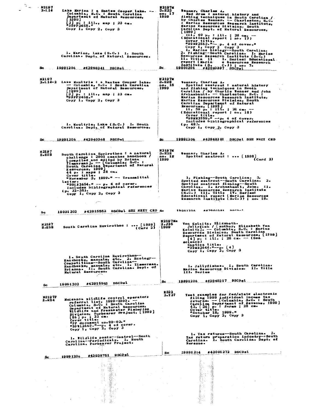| 2.L 14                         |                                                                                                                                                                                                                                            | 3.B23                | Wenner, Charles A.                                                                                                                                                                                                  |
|--------------------------------|--------------------------------------------------------------------------------------------------------------------------------------------------------------------------------------------------------------------------------------------|----------------------|---------------------------------------------------------------------------------------------------------------------------------------------------------------------------------------------------------------------|
|                                | Lake Marion : a Santee Cooper lake. -<br>Columbia, S.C. : South Carolina<br><b>Department of Natural Resources,</b>                                                                                                                        | no. 17<br>1999       | Red drum : natural history and<br>fishing techniques in South Carolina /                                                                                                                                            |
|                                | [1999]<br>3] p. : 111., map ; 23 cm.                                                                                                                                                                                                       |                      | by Charles Wenner. -- Charleston, S.C.                                                                                                                                                                              |
|                                | #99FF2458."                                                                                                                                                                                                                                |                      | : Marine Resources Research Institute,<br>Marine Resources Division, South                                                                                                                                          |
|                                | Copy 1, Copy 2, Copy 3                                                                                                                                                                                                                     |                      | Carolina Dept. of Natural Resources,<br>[1999]                                                                                                                                                                      |
|                                |                                                                                                                                                                                                                                            |                      | III, 40 p. : ill. : 28 cm. -<br>(Educational report ; no. 17)                                                                                                                                                       |
|                                |                                                                                                                                                                                                                                            |                      | Cover title.                                                                                                                                                                                                        |
|                                |                                                                                                                                                                                                                                            |                      | $\frac{1000002560}{\text{Copy 1}}$ Copy 3 Copy 3<br>l. Marine biology--South Carolina.                                                                                                                              |
|                                | 1. Marion, Lake (S.C.) I. South<br>Carolina. Dept. of Natural Resources.                                                                                                                                                                   |                      | 2. Fishing--South Carolina. I. Marine<br>Resources Research Institute (S.C.)                                                                                                                                        |
|                                |                                                                                                                                                                                                                                            |                      | II. Title II. I. Series: Educational.                                                                                                                                                                               |
|                                |                                                                                                                                                                                                                                            |                      | report (Marin<br>e Resources Besearch<br>Institute (S.<br>$C0$ )) ; no. 7.                                                                                                                                          |
|                                | Sc. 19991206 #42940341 DSCDsL                                                                                                                                                                                                              | Sc.                  | 19991206 #42940397 DSCDsl                                                                                                                                                                                           |
| N2197                          |                                                                                                                                                                                                                                            | N2197M               |                                                                                                                                                                                                                     |
|                                | 2.L14-2 Lake Moultrie : a Santee Cooper lake.                                                                                                                                                                                              | 3.B <sub>28</sub>    | Wenner, Charles A.                                                                                                                                                                                                  |
|                                | -- Columbia, S.C. : South Carolina<br>Department of Natural Resources,                                                                                                                                                                     | no. 18<br>. 1999     | Spotted seatrout : natural history<br>and fishing techniques in South                                                                                                                                               |
|                                | [1999]<br>[3] p. : ill., map.; 23 cm.                                                                                                                                                                                                      |                      | Carolina / by Charlie Wenner and John<br>Archambault. -- Charleston, S.C. :                                                                                                                                         |
|                                | #99FF2458."<br>Copy $1$ , Copy $2$ , Copy $3$                                                                                                                                                                                              |                      | Marine Resources Research Institute,<br>Marine Resources Division, South                                                                                                                                            |
|                                |                                                                                                                                                                                                                                            |                      | Carolina Department of Natural<br>Resources, [1999]                                                                                                                                                                 |
|                                |                                                                                                                                                                                                                                            |                      | ii, 50 p. : ill. ; 28 cm. --<br>(Educational report ; no, 18)                                                                                                                                                       |
|                                |                                                                                                                                                                                                                                            |                      | Cover title.<br>"99MR2559." -∸р. 4 о‡ сотег.                                                                                                                                                                        |
|                                |                                                                                                                                                                                                                                            |                      | Includes bibliographical references                                                                                                                                                                                 |
|                                | 1. Moultrie, Lake (S.C.) I. South<br>Carolina. Dept. of Natural Resources.                                                                                                                                                                 |                      | (р. 48).<br>Copy 1, Copy 2, Copy 3                                                                                                                                                                                  |
|                                |                                                                                                                                                                                                                                            |                      |                                                                                                                                                                                                                     |
|                                | Sc 19891206 #42940368<br>DSCDsl                                                                                                                                                                                                            | Sc.                  | 19991206 #42940381 DSCDsl SEE NEXT CED                                                                                                                                                                              |
|                                |                                                                                                                                                                                                                                            |                      |                                                                                                                                                                                                                     |
| N 2197                         |                                                                                                                                                                                                                                            | N 219 7X             |                                                                                                                                                                                                                     |
| 8.E58                          | South Carolina Envirothon : a natural<br>challenge : 2000 coaches handbook /                                                                                                                                                               | 3.B28<br>no. 18      | Wenner, Charles A.<br>Spotted seatrout :  [1998]                                                                                                                                                                    |
|                                | compiled and edited by Briana                                                                                                                                                                                                              | 1999                 | (Card 2)                                                                                                                                                                                                            |
|                                | Timmerman]. - [Columbia; S.C. :<br>South Carolina Department of Natural                                                                                                                                                                    |                      |                                                                                                                                                                                                                     |
|                                | Resources, 1999]<br>44 р. : марв ; 28 см.                                                                                                                                                                                                  |                      |                                                                                                                                                                                                                     |
|                                | Cover title.<br>"November 3, 1999." -- Transmittal                                                                                                                                                                                         |                      | 1. Fishing--South Carolina. 2.                                                                                                                                                                                      |
|                                | letter –<br>"99LR2654." -- p. 4 of cover.                                                                                                                                                                                                  |                      | Spotted seatrout--South Carolina.<br>з.<br>Spotted seatrout fishing--South                                                                                                                                          |
|                                | Includes bibliographical references<br>$(p_0 32 - 35)$                                                                                                                                                                                     |                      | Carolina. I. Archambault, John. II.<br>Marine Resources Research Institute                                                                                                                                          |
|                                | Copy 1, Copy 2, Copy 3                                                                                                                                                                                                                     |                      | (S.C.) III. Title IV. Series:<br>Educational report (Marine Resources                                                                                                                                               |
|                                |                                                                                                                                                                                                                                            |                      | Research Institute (S.C.)) ; no. 18.                                                                                                                                                                                |
|                                |                                                                                                                                                                                                                                            |                      |                                                                                                                                                                                                                     |
|                                |                                                                                                                                                                                                                                            |                      |                                                                                                                                                                                                                     |
| 8c                             | #42915552 DSCDsl SEE NEXT CED se<br>19991202                                                                                                                                                                                               |                      | 19991206<br>#47940391<br>necn-1                                                                                                                                                                                     |
|                                |                                                                                                                                                                                                                                            |                      |                                                                                                                                                                                                                     |
| N2197                          |                                                                                                                                                                                                                                            | N2197Ma<br>2.J35     | Von Kolnitz, Elizabeth.                                                                                                                                                                                             |
| 8.B58                          | South Carolina Envirothon :  [1999]<br>$(\text{Card } 2)$                                                                                                                                                                                  | 1999                 | Jellytish / [author, Blizabeth Von<br>Kolnitz]. -- Columbia, S.C. : Marine                                                                                                                                          |
|                                |                                                                                                                                                                                                                                            |                      | Resources Division, South Carolina                                                                                                                                                                                  |
|                                |                                                                                                                                                                                                                                            |                      | Department of Natural Resources, [1999]<br>[4] p. : ill. ; 28 cm. -- (Sea                                                                                                                                           |
|                                |                                                                                                                                                                                                                                            |                      | science)                                                                                                                                                                                                            |
|                                |                                                                                                                                                                                                                                            |                      | Caption title.<br>"99MR2644."--p. [4]<br>Copy 1, Copy 2, Copy 3                                                                                                                                                     |
|                                | i. South Carolina Envirothon--                                                                                                                                                                                                             |                      |                                                                                                                                                                                                                     |
|                                |                                                                                                                                                                                                                                            |                      |                                                                                                                                                                                                                     |
|                                | Handbooks, manuals, etc. 2. Ecology--<br>Competitions--South Carolina-                                                                                                                                                                     |                      | 1. Jellyfishes. I. South Carolina.                                                                                                                                                                                  |
|                                | Handbooks, manuals, atc. I. Timmerman,<br>Brianna. II. South Carolina. Dept. of<br>Natural Resources.                                                                                                                                      |                      | Marine Resources Division. II. Title<br>III. Series                                                                                                                                                                 |
|                                |                                                                                                                                                                                                                                            |                      |                                                                                                                                                                                                                     |
| Sc                             | DSCDsl<br>#42915552<br>19991202                                                                                                                                                                                                            | 8c                   | 19991206 #42940317 DSCDsl                                                                                                                                                                                           |
|                                |                                                                                                                                                                                                                                            |                      |                                                                                                                                                                                                                     |
|                                |                                                                                                                                                                                                                                            | <b>2322</b><br>2.137 | Test examples for fed/state electronic                                                                                                                                                                              |
|                                | Nuisance wildlife control operators                                                                                                                                                                                                        |                      |                                                                                                                                                                                                                     |
|                                |                                                                                                                                                                                                                                            |                      |                                                                                                                                                                                                                     |
|                                | referral list, 1999-2000.<br>Wildlife and Preshwater Fisheries                                                                                                                                                                             |                      | per capabric for requested along the correction filling 1999 individual income tax<br>returns: -- [Columbia, S.C. : South<br>correction beapstment of Pevenue, 1999]<br>43, [26] pe: forms ; 28 cm.<br>Cover title. |
|                                |                                                                                                                                                                                                                                            |                      | "October 18, 1999."<br>Copy 1, Copy 2, Copy 3                                                                                                                                                                       |
|                                | pivision, Furbarer Project, [1959]<br>[86] p. ; 22 cm.<br>Cover title.<br>"PP document no. 99-03."                                                                                                                                         |                      |                                                                                                                                                                                                                     |
|                                | "99WL2669."---p. 4 of cover.<br>Copy 1, Copy 2, Copy 3                                                                                                                                                                                     |                      |                                                                                                                                                                                                                     |
|                                |                                                                                                                                                                                                                                            |                      | 1. Tax returns-South Carolina. 2.                                                                                                                                                                                   |
|                                | 1. Wildlife pests--Control--South<br>Carolina--Periodicals. I. South                                                                                                                                                                       |                      | Tax return preparation industry-+South<br>Carolina. I. South Carolina. Dept. of                                                                                                                                     |
|                                | Carolina. Furbearer Project.                                                                                                                                                                                                               |                      | Revenue.                                                                                                                                                                                                            |
|                                |                                                                                                                                                                                                                                            | Sc                   | #43001272 DSCDsl<br>19991214                                                                                                                                                                                        |
| N219 <i>7F</i><br>8.N84<br>Śс. | #42838751 DSCDal<br>1999 1206<br>-187                                                                                                                                                                                                      |                      |                                                                                                                                                                                                                     |
|                                | 15 M<br>- 45                                                                                                                                                                                                                               |                      |                                                                                                                                                                                                                     |
|                                |                                                                                                                                                                                                                                            |                      |                                                                                                                                                                                                                     |
|                                |                                                                                                                                                                                                                                            |                      |                                                                                                                                                                                                                     |
|                                |                                                                                                                                                                                                                                            |                      |                                                                                                                                                                                                                     |
|                                | $\cdot$                                                                                                                                                                                                                                    |                      |                                                                                                                                                                                                                     |
|                                |                                                                                                                                                                                                                                            |                      |                                                                                                                                                                                                                     |
|                                |                                                                                                                                                                                                                                            |                      |                                                                                                                                                                                                                     |
|                                | e de la companya de la companya de la companya de la companya de la companya de la companya de la companya de<br>La companya de la companya de la companya de la companya de la companya de la companya de la companya de la co<br>a anima |                      |                                                                                                                                                                                                                     |

 $\frac{1}{2}$